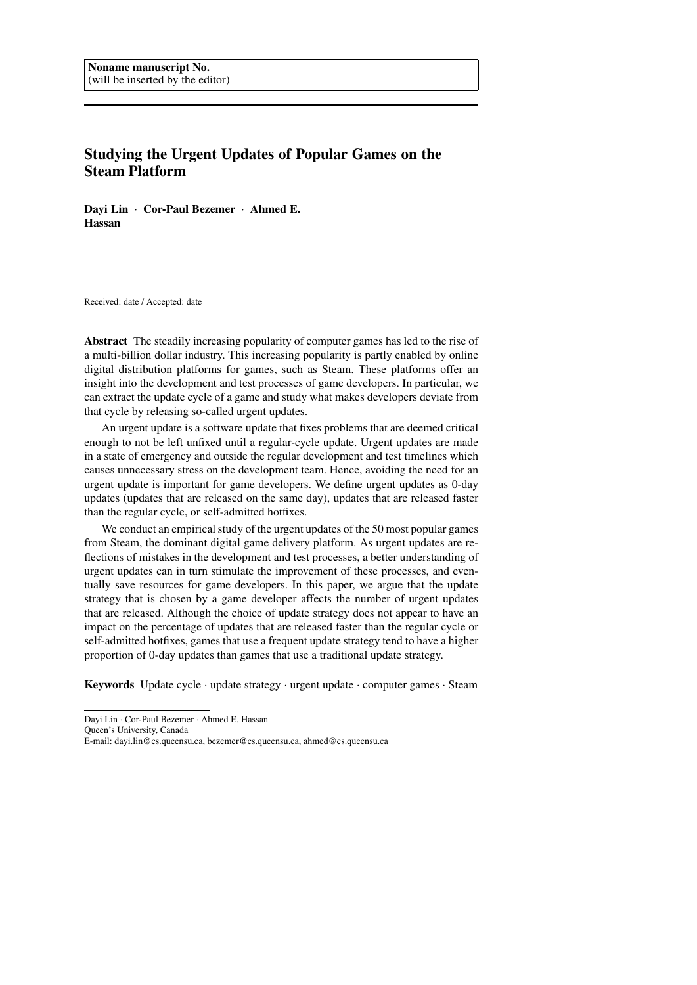# Studying the Urgent Updates of Popular Games on the Steam Platform

Dayi Lin · Cor-Paul Bezemer · Ahmed E. Hassan

Received: date / Accepted: date

Abstract The steadily increasing popularity of computer games has led to the rise of a multi-billion dollar industry. This increasing popularity is partly enabled by online digital distribution platforms for games, such as Steam. These platforms offer an insight into the development and test processes of game developers. In particular, we can extract the update cycle of a game and study what makes developers deviate from that cycle by releasing so-called urgent updates.

An urgent update is a software update that fixes problems that are deemed critical enough to not be left unfixed until a regular-cycle update. Urgent updates are made in a state of emergency and outside the regular development and test timelines which causes unnecessary stress on the development team. Hence, avoiding the need for an urgent update is important for game developers. We define urgent updates as 0-day updates (updates that are released on the same day), updates that are released faster than the regular cycle, or self-admitted hotfixes.

We conduct an empirical study of the urgent updates of the 50 most popular games from Steam, the dominant digital game delivery platform. As urgent updates are reflections of mistakes in the development and test processes, a better understanding of urgent updates can in turn stimulate the improvement of these processes, and eventually save resources for game developers. In this paper, we argue that the update strategy that is chosen by a game developer affects the number of urgent updates that are released. Although the choice of update strategy does not appear to have an impact on the percentage of updates that are released faster than the regular cycle or self-admitted hotfixes, games that use a frequent update strategy tend to have a higher proportion of 0-day updates than games that use a traditional update strategy.

Keywords Update cycle · update strategy · urgent update · computer games · Steam

Dayi Lin · Cor-Paul Bezemer · Ahmed E. Hassan

Queen's University, Canada

E-mail: dayi.lin@cs.queensu.ca, bezemer@cs.queensu.ca, ahmed@cs.queensu.ca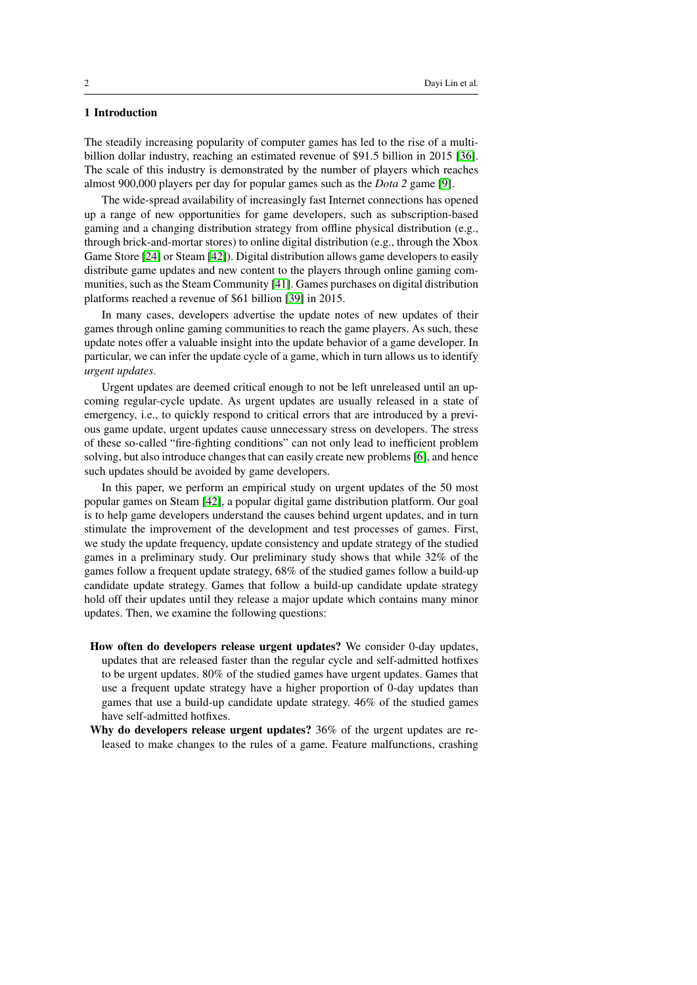# 1 Introduction

The steadily increasing popularity of computer games has led to the rise of a multibillion dollar industry, reaching an estimated revenue of \$91.5 billion in 2015 [\[36\]](#page-31-0). The scale of this industry is demonstrated by the number of players which reaches almost 900,000 players per day for popular games such as the *Dota 2* game [\[9\]](#page-29-0).

The wide-spread availability of increasingly fast Internet connections has opened up a range of new opportunities for game developers, such as subscription-based gaming and a changing distribution strategy from offline physical distribution (e.g., through brick-and-mortar stores) to online digital distribution (e.g., through the Xbox Game Store [\[24\]](#page-30-0) or Steam [\[42\]](#page-31-1)). Digital distribution allows game developers to easily distribute game updates and new content to the players through online gaming communities, such as the Steam Community [\[41\]](#page-31-2). Games purchases on digital distribution platforms reached a revenue of \$61 billion [\[39\]](#page-31-3) in 2015.

In many cases, developers advertise the update notes of new updates of their games through online gaming communities to reach the game players. As such, these update notes offer a valuable insight into the update behavior of a game developer. In particular, we can infer the update cycle of a game, which in turn allows us to identify *urgent updates*.

Urgent updates are deemed critical enough to not be left unreleased until an upcoming regular-cycle update. As urgent updates are usually released in a state of emergency, i.e., to quickly respond to critical errors that are introduced by a previous game update, urgent updates cause unnecessary stress on developers. The stress of these so-called "fire-fighting conditions" can not only lead to inefficient problem solving, but also introduce changes that can easily create new problems [\[6\]](#page-29-1), and hence such updates should be avoided by game developers.

In this paper, we perform an empirical study on urgent updates of the 50 most popular games on Steam [\[42\]](#page-31-1), a popular digital game distribution platform. Our goal is to help game developers understand the causes behind urgent updates, and in turn stimulate the improvement of the development and test processes of games. First, we study the update frequency, update consistency and update strategy of the studied games in a preliminary study. Our preliminary study shows that while 32% of the games follow a frequent update strategy, 68% of the studied games follow a build-up candidate update strategy. Games that follow a build-up candidate update strategy hold off their updates until they release a major update which contains many minor updates. Then, we examine the following questions:

- How often do developers release urgent updates? We consider 0-day updates, updates that are released faster than the regular cycle and self-admitted hotfixes to be urgent updates. 80% of the studied games have urgent updates. Games that use a frequent update strategy have a higher proportion of 0-day updates than games that use a build-up candidate update strategy. 46% of the studied games have self-admitted hotfixes.
- Why do developers release urgent updates? 36% of the urgent updates are released to make changes to the rules of a game. Feature malfunctions, crashing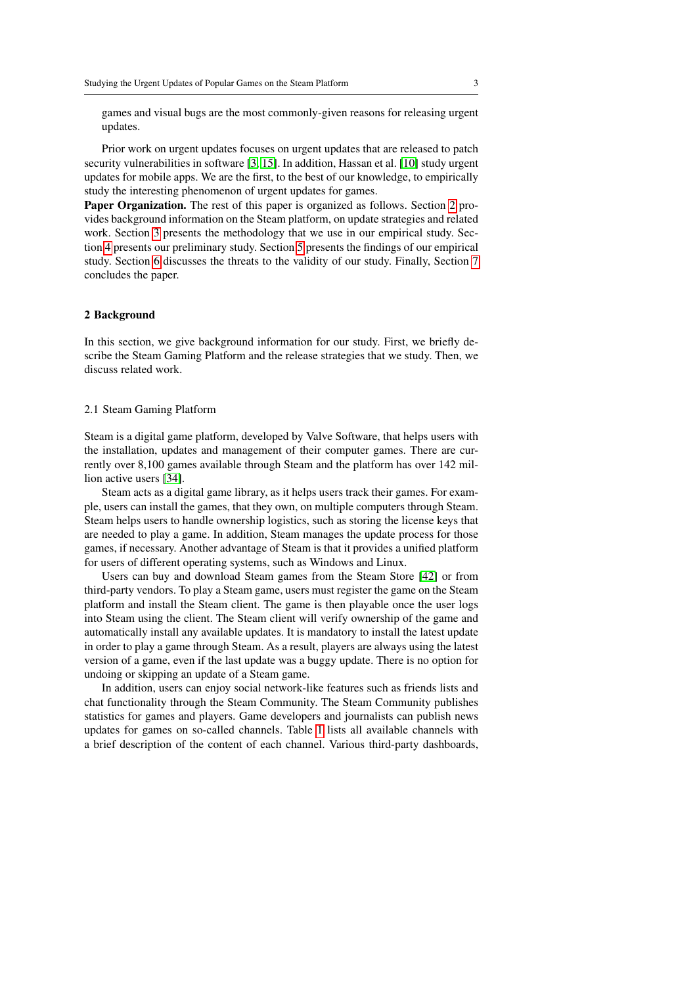games and visual bugs are the most commonly-given reasons for releasing urgent updates.

Prior work on urgent updates focuses on urgent updates that are released to patch security vulnerabilities in software [\[3,](#page-29-2) [15\]](#page-30-1). In addition, Hassan et al. [\[10\]](#page-29-3) study urgent updates for mobile apps. We are the first, to the best of our knowledge, to empirically study the interesting phenomenon of urgent updates for games.

Paper Organization. The rest of this paper is organized as follows. Section [2](#page-2-0) provides background information on the Steam platform, on update strategies and related work. Section [3](#page-6-0) presents the methodology that we use in our empirical study. Section [4](#page-11-0) presents our preliminary study. Section [5](#page-19-0) presents the findings of our empirical study. Section [6](#page-27-0) discusses the threats to the validity of our study. Finally, Section [7](#page-28-0) concludes the paper.

# <span id="page-2-0"></span>2 Background

In this section, we give background information for our study. First, we briefly describe the Steam Gaming Platform and the release strategies that we study. Then, we discuss related work.

#### 2.1 Steam Gaming Platform

Steam is a digital game platform, developed by Valve Software, that helps users with the installation, updates and management of their computer games. There are currently over 8,100 games available through Steam and the platform has over 142 million active users [\[34\]](#page-31-4).

Steam acts as a digital game library, as it helps users track their games. For example, users can install the games, that they own, on multiple computers through Steam. Steam helps users to handle ownership logistics, such as storing the license keys that are needed to play a game. In addition, Steam manages the update process for those games, if necessary. Another advantage of Steam is that it provides a unified platform for users of different operating systems, such as Windows and Linux.

Users can buy and download Steam games from the Steam Store [\[42\]](#page-31-1) or from third-party vendors. To play a Steam game, users must register the game on the Steam platform and install the Steam client. The game is then playable once the user logs into Steam using the client. The Steam client will verify ownership of the game and automatically install any available updates. It is mandatory to install the latest update in order to play a game through Steam. As a result, players are always using the latest version of a game, even if the last update was a buggy update. There is no option for undoing or skipping an update of a Steam game.

In addition, users can enjoy social network-like features such as friends lists and chat functionality through the Steam Community. The Steam Community publishes statistics for games and players. Game developers and journalists can publish news updates for games on so-called channels. Table [1](#page-3-0) lists all available channels with a brief description of the content of each channel. Various third-party dashboards,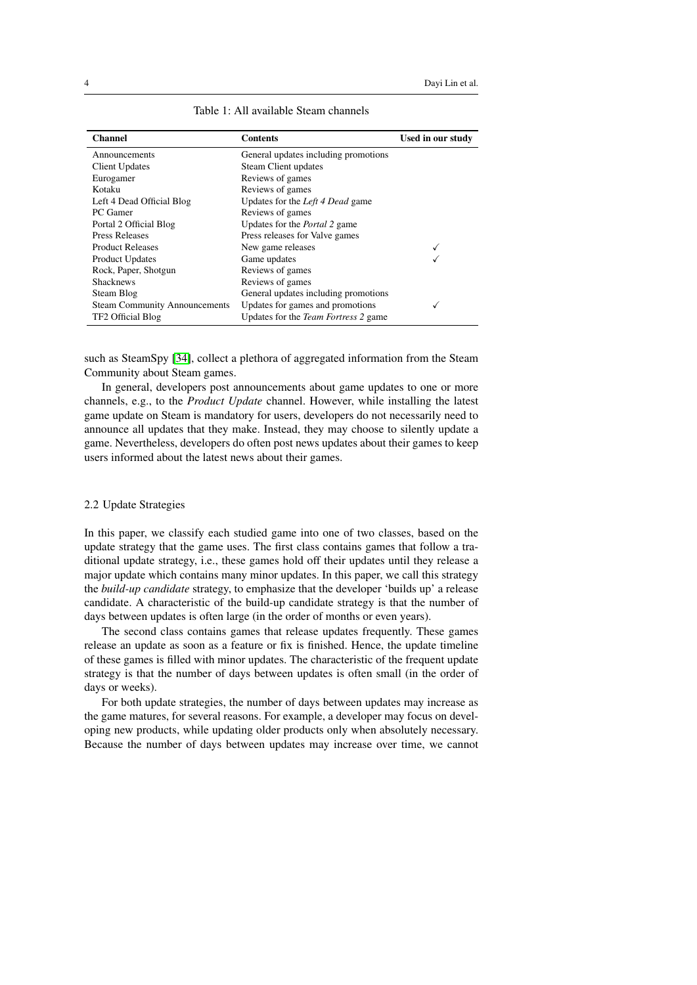<span id="page-3-0"></span>

| <b>Channel</b>                       | <b>Contents</b>                             | Used in our study |
|--------------------------------------|---------------------------------------------|-------------------|
| Announcements                        | General updates including promotions        |                   |
| <b>Client Updates</b>                | Steam Client updates                        |                   |
| Eurogamer                            | Reviews of games                            |                   |
| Kotaku                               | Reviews of games                            |                   |
| Left 4 Dead Official Blog            | Updates for the Left 4 Dead game            |                   |
| PC Gamer                             | Reviews of games                            |                   |
| Portal 2 Official Blog               | Updates for the Portal 2 game               |                   |
| Press Releases                       | Press releases for Valve games              |                   |
| <b>Product Releases</b>              | New game releases                           |                   |
| <b>Product Updates</b>               | Game updates                                |                   |
| Rock, Paper, Shotgun                 | Reviews of games                            |                   |
| <b>Shacknews</b>                     | Reviews of games                            |                   |
| Steam Blog                           | General updates including promotions        |                   |
| <b>Steam Community Announcements</b> | Updates for games and promotions            |                   |
| TF2 Official Blog                    | Updates for the <i>Team Fortress</i> 2 game |                   |

Table 1: All available Steam channels

such as SteamSpy [\[34\]](#page-31-4), collect a plethora of aggregated information from the Steam Community about Steam games.

In general, developers post announcements about game updates to one or more channels, e.g., to the *Product Update* channel. However, while installing the latest game update on Steam is mandatory for users, developers do not necessarily need to announce all updates that they make. Instead, they may choose to silently update a game. Nevertheless, developers do often post news updates about their games to keep users informed about the latest news about their games.

#### 2.2 Update Strategies

In this paper, we classify each studied game into one of two classes, based on the update strategy that the game uses. The first class contains games that follow a traditional update strategy, i.e., these games hold off their updates until they release a major update which contains many minor updates. In this paper, we call this strategy the *build-up candidate* strategy, to emphasize that the developer 'builds up' a release candidate. A characteristic of the build-up candidate strategy is that the number of days between updates is often large (in the order of months or even years).

The second class contains games that release updates frequently. These games release an update as soon as a feature or fix is finished. Hence, the update timeline of these games is filled with minor updates. The characteristic of the frequent update strategy is that the number of days between updates is often small (in the order of days or weeks).

For both update strategies, the number of days between updates may increase as the game matures, for several reasons. For example, a developer may focus on developing new products, while updating older products only when absolutely necessary. Because the number of days between updates may increase over time, we cannot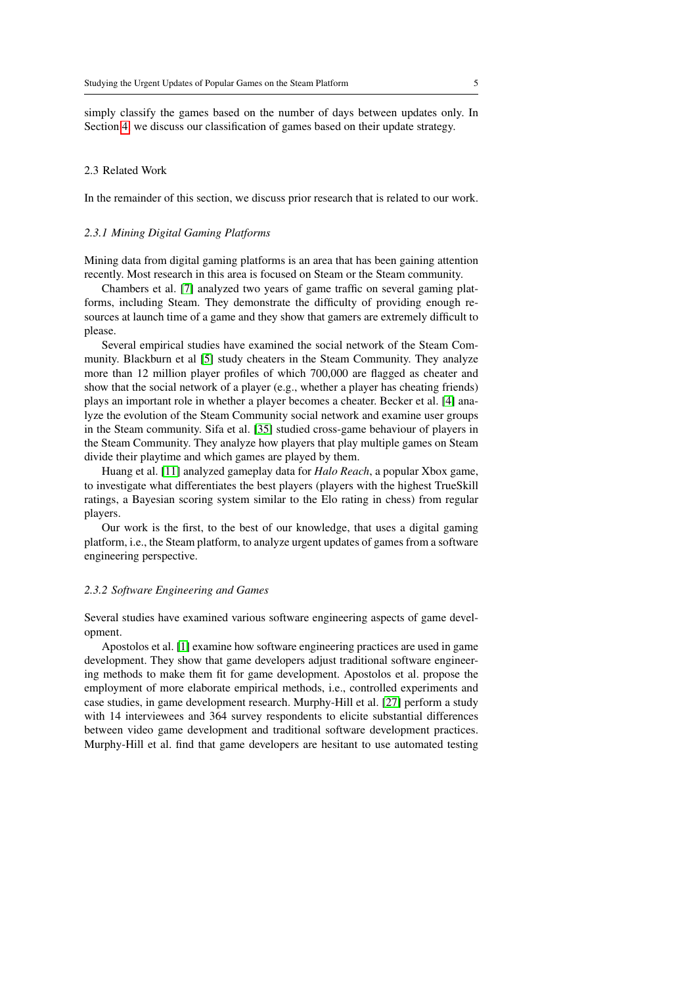simply classify the games based on the number of days between updates only. In Section [4,](#page-11-0) we discuss our classification of games based on their update strategy.

#### <span id="page-4-0"></span>2.3 Related Work

In the remainder of this section, we discuss prior research that is related to our work.

# *2.3.1 Mining Digital Gaming Platforms*

Mining data from digital gaming platforms is an area that has been gaining attention recently. Most research in this area is focused on Steam or the Steam community.

Chambers et al. [\[7\]](#page-29-4) analyzed two years of game traffic on several gaming platforms, including Steam. They demonstrate the difficulty of providing enough resources at launch time of a game and they show that gamers are extremely difficult to please.

Several empirical studies have examined the social network of the Steam Community. Blackburn et al [\[5\]](#page-29-5) study cheaters in the Steam Community. They analyze more than 12 million player profiles of which 700,000 are flagged as cheater and show that the social network of a player (e.g., whether a player has cheating friends) plays an important role in whether a player becomes a cheater. Becker et al. [\[4\]](#page-29-6) analyze the evolution of the Steam Community social network and examine user groups in the Steam community. Sifa et al. [\[35\]](#page-31-5) studied cross-game behaviour of players in the Steam Community. They analyze how players that play multiple games on Steam divide their playtime and which games are played by them.

Huang et al. [\[11\]](#page-29-7) analyzed gameplay data for *Halo Reach*, a popular Xbox game, to investigate what differentiates the best players (players with the highest TrueSkill ratings, a Bayesian scoring system similar to the Elo rating in chess) from regular players.

Our work is the first, to the best of our knowledge, that uses a digital gaming platform, i.e., the Steam platform, to analyze urgent updates of games from a software engineering perspective.

#### *2.3.2 Software Engineering and Games*

Several studies have examined various software engineering aspects of game development.

Apostolos et al. [\[1\]](#page-29-8) examine how software engineering practices are used in game development. They show that game developers adjust traditional software engineering methods to make them fit for game development. Apostolos et al. propose the employment of more elaborate empirical methods, i.e., controlled experiments and case studies, in game development research. Murphy-Hill et al. [\[27\]](#page-30-2) perform a study with 14 interviewees and 364 survey respondents to elicite substantial differences between video game development and traditional software development practices. Murphy-Hill et al. find that game developers are hesitant to use automated testing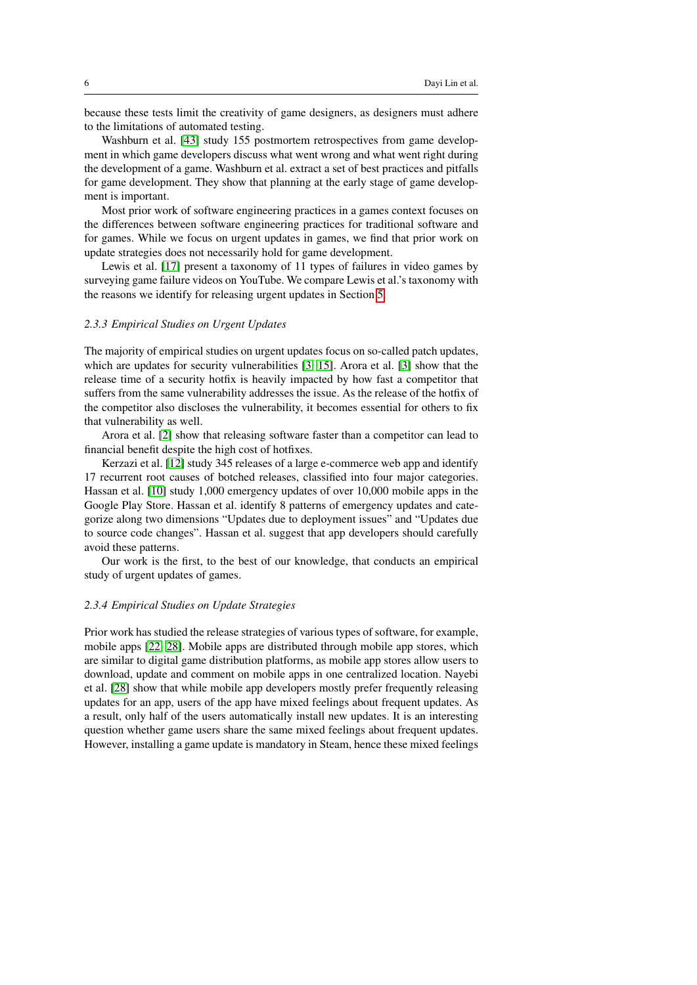because these tests limit the creativity of game designers, as designers must adhere to the limitations of automated testing.

Washburn et al. [\[43\]](#page-31-6) study 155 postmortem retrospectives from game development in which game developers discuss what went wrong and what went right during the development of a game. Washburn et al. extract a set of best practices and pitfalls for game development. They show that planning at the early stage of game development is important.

Most prior work of software engineering practices in a games context focuses on the differences between software engineering practices for traditional software and for games. While we focus on urgent updates in games, we find that prior work on update strategies does not necessarily hold for game development.

Lewis et al. [\[17\]](#page-30-3) present a taxonomy of 11 types of failures in video games by surveying game failure videos on YouTube. We compare Lewis et al.'s taxonomy with the reasons we identify for releasing urgent updates in Section [5.](#page-19-0)

# *2.3.3 Empirical Studies on Urgent Updates*

The majority of empirical studies on urgent updates focus on so-called patch updates, which are updates for security vulnerabilities [\[3,](#page-29-2) [15\]](#page-30-1). Arora et al. [\[3\]](#page-29-2) show that the release time of a security hotfix is heavily impacted by how fast a competitor that suffers from the same vulnerability addresses the issue. As the release of the hotfix of the competitor also discloses the vulnerability, it becomes essential for others to fix that vulnerability as well.

Arora et al. [\[2\]](#page-29-9) show that releasing software faster than a competitor can lead to financial benefit despite the high cost of hotfixes.

Kerzazi et al. [\[12\]](#page-29-10) study 345 releases of a large e-commerce web app and identify 17 recurrent root causes of botched releases, classified into four major categories. Hassan et al. [\[10\]](#page-29-3) study 1,000 emergency updates of over 10,000 mobile apps in the Google Play Store. Hassan et al. identify 8 patterns of emergency updates and categorize along two dimensions "Updates due to deployment issues" and "Updates due to source code changes". Hassan et al. suggest that app developers should carefully avoid these patterns.

Our work is the first, to the best of our knowledge, that conducts an empirical study of urgent updates of games.

#### *2.3.4 Empirical Studies on Update Strategies*

Prior work has studied the release strategies of various types of software, for example, mobile apps [\[22,](#page-30-4) [28\]](#page-30-5). Mobile apps are distributed through mobile app stores, which are similar to digital game distribution platforms, as mobile app stores allow users to download, update and comment on mobile apps in one centralized location. Nayebi et al. [\[28\]](#page-30-5) show that while mobile app developers mostly prefer frequently releasing updates for an app, users of the app have mixed feelings about frequent updates. As a result, only half of the users automatically install new updates. It is an interesting question whether game users share the same mixed feelings about frequent updates. However, installing a game update is mandatory in Steam, hence these mixed feelings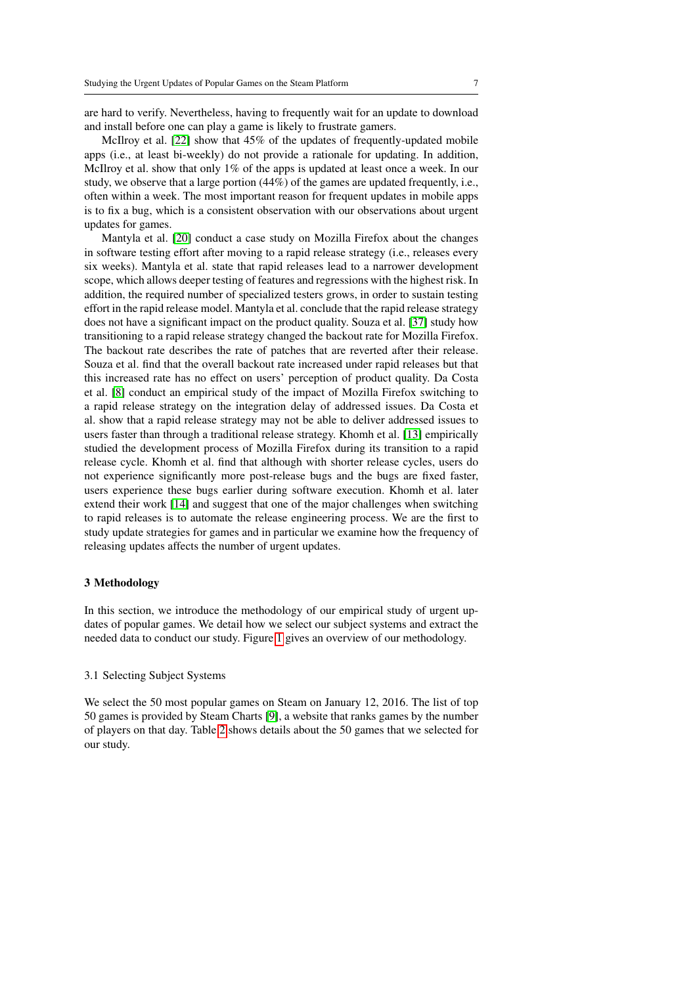are hard to verify. Nevertheless, having to frequently wait for an update to download and install before one can play a game is likely to frustrate gamers.

McIlroy et al. [\[22\]](#page-30-4) show that 45% of the updates of frequently-updated mobile apps (i.e., at least bi-weekly) do not provide a rationale for updating. In addition, McIlroy et al. show that only 1% of the apps is updated at least once a week. In our study, we observe that a large portion (44%) of the games are updated frequently, i.e., often within a week. The most important reason for frequent updates in mobile apps is to fix a bug, which is a consistent observation with our observations about urgent updates for games.

Mantyla et al. [\[20\]](#page-30-6) conduct a case study on Mozilla Firefox about the changes in software testing effort after moving to a rapid release strategy (i.e., releases every six weeks). Mantyla et al. state that rapid releases lead to a narrower development scope, which allows deeper testing of features and regressions with the highest risk. In addition, the required number of specialized testers grows, in order to sustain testing effort in the rapid release model. Mantyla et al. conclude that the rapid release strategy does not have a significant impact on the product quality. Souza et al. [\[37\]](#page-31-7) study how transitioning to a rapid release strategy changed the backout rate for Mozilla Firefox. The backout rate describes the rate of patches that are reverted after their release. Souza et al. find that the overall backout rate increased under rapid releases but that this increased rate has no effect on users' perception of product quality. Da Costa et al. [\[8\]](#page-29-11) conduct an empirical study of the impact of Mozilla Firefox switching to a rapid release strategy on the integration delay of addressed issues. Da Costa et al. show that a rapid release strategy may not be able to deliver addressed issues to users faster than through a traditional release strategy. Khomh et al. [\[13\]](#page-30-7) empirically studied the development process of Mozilla Firefox during its transition to a rapid release cycle. Khomh et al. find that although with shorter release cycles, users do not experience significantly more post-release bugs and the bugs are fixed faster, users experience these bugs earlier during software execution. Khomh et al. later extend their work [\[14\]](#page-30-8) and suggest that one of the major challenges when switching to rapid releases is to automate the release engineering process. We are the first to study update strategies for games and in particular we examine how the frequency of releasing updates affects the number of urgent updates.

# <span id="page-6-0"></span>3 Methodology

In this section, we introduce the methodology of our empirical study of urgent updates of popular games. We detail how we select our subject systems and extract the needed data to conduct our study. Figure [1](#page-7-0) gives an overview of our methodology.

# 3.1 Selecting Subject Systems

We select the 50 most popular games on Steam on January 12, 2016. The list of top 50 games is provided by Steam Charts [\[9\]](#page-29-0), a website that ranks games by the number of players on that day. Table [2](#page-8-0) shows details about the 50 games that we selected for our study.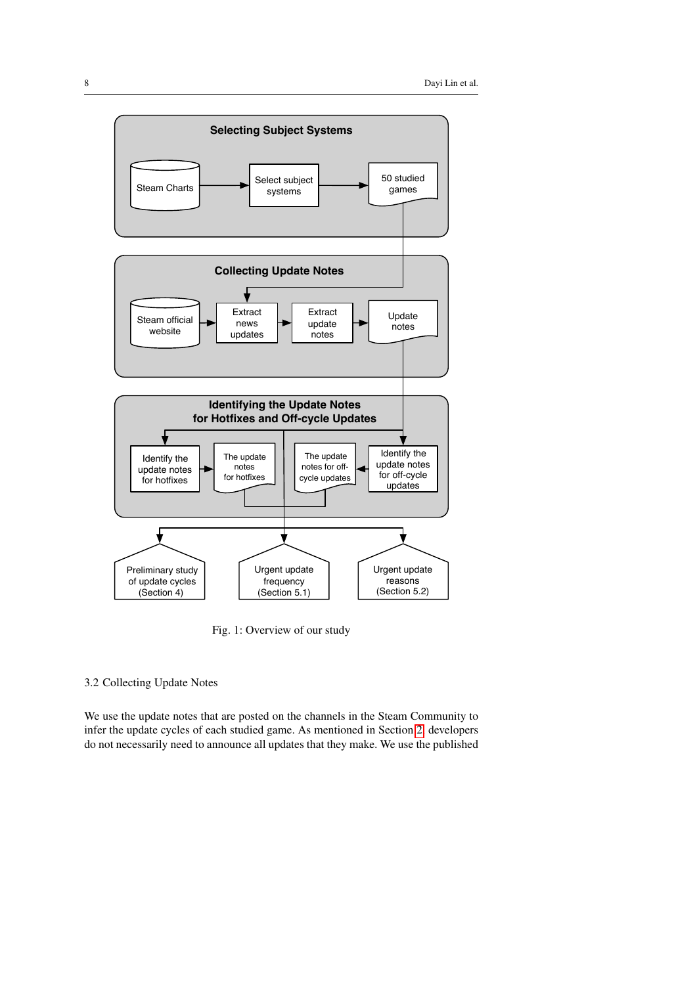<span id="page-7-0"></span>

Fig. 1: Overview of our study

# <span id="page-7-1"></span>3.2 Collecting Update Notes

We use the update notes that are posted on the channels in the Steam Community to infer the update cycles of each studied game. As mentioned in Section [2,](#page-2-0) developers do not necessarily need to announce all updates that they make. We use the published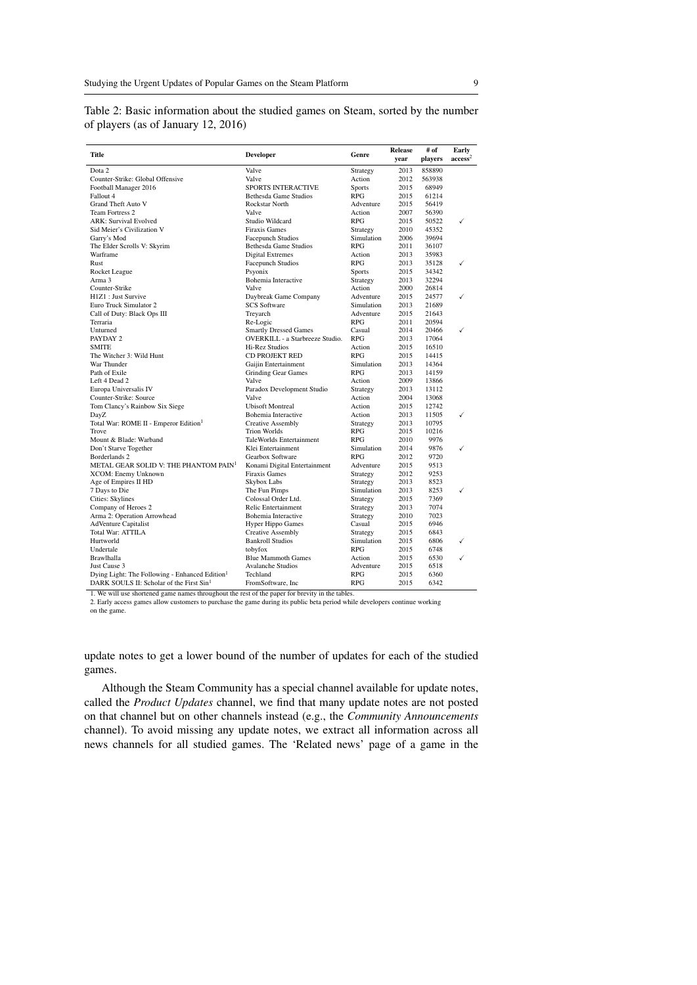| Title                                                      | <b>Developer</b>                       | Genre                    | <b>Release</b><br>vear | # of<br>players | Early<br>$\mathrm{access}^2$ |
|------------------------------------------------------------|----------------------------------------|--------------------------|------------------------|-----------------|------------------------------|
| Dota 2                                                     | Valve                                  | Strategy                 | 2013                   | 858890          |                              |
| Counter-Strike: Global Offensive                           | Valve                                  | Action                   | 2012                   | 563938          |                              |
| Football Manager 2016                                      | <b>SPORTS INTERACTIVE</b>              | <b>Sports</b>            | 2015                   | 68949           |                              |
| Fallout 4                                                  | Bethesda Game Studios                  | <b>RPG</b>               | 2015                   | 61214           |                              |
| <b>Grand Theft Auto V</b>                                  | <b>Rockstar North</b>                  | Adventure                | 2015                   | 56419           |                              |
| Team Fortress 2                                            | Valve                                  | Action                   | 2007                   | 56390           |                              |
| <b>ARK: Survival Evolved</b>                               | Studio Wildcard                        | <b>RPG</b>               | 2015                   | 50522           | ✓                            |
| Sid Meier's Civilization V                                 | <b>Firaxis Games</b>                   | Strategy                 | 2010                   | 45352           |                              |
| Garry's Mod                                                | <b>Facepunch Studios</b>               | Simulation               | 2006                   | 39694           |                              |
| The Elder Scrolls V: Skyrim                                | Bethesda Game Studios                  | <b>RPG</b>               | 2011                   | 36107           |                              |
| Warframe                                                   | <b>Digital Extremes</b>                | Action                   | 2013                   | 35983           |                              |
| Rust                                                       | <b>Facepunch Studios</b>               | <b>RPG</b>               | 2013                   | 35128           | ✓                            |
| Rocket League                                              | Psyonix                                | <b>Sports</b>            | 2015                   | 34342           |                              |
| Arma 3                                                     | <b>Bohemia</b> Interactive             | Strategy                 | 2013                   | 32294           |                              |
| Counter-Strike                                             | Valve                                  | Action                   | 2000                   | 26814           |                              |
| H1Z1: Just Survive                                         | Daybreak Game Company                  | Adventure                | 2015                   | 24577           | ✓                            |
| Euro Truck Simulator 2                                     | <b>SCS</b> Software                    | Simulation               | 2013                   | 21689           |                              |
| Call of Duty: Black Ops III                                | Treyarch                               | Adventure                | 2015                   | 21643           |                              |
| Terraria                                                   | Re-Logic                               | <b>RPG</b>               | 2011                   | 20594           |                              |
| Unturned                                                   | <b>Smartly Dressed Games</b>           | Casual                   | 2014                   | 20466           | ✓                            |
| PAYDAY 2                                                   | <b>OVERKILL</b> - a Starbreeze Studio. | <b>RPG</b>               | 2013                   | 17064           |                              |
| <b>SMITE</b>                                               | Hi-Rez Studios                         | Action                   | 2015                   | 16510           |                              |
| The Witcher 3: Wild Hunt                                   | <b>CD PROJEKT RED</b>                  | <b>RPG</b>               | 2015                   | 14415           |                              |
| War Thunder                                                | Gaijin Entertainment                   | Simulation               | 2013                   | 14364           |                              |
| Path of Exile                                              | <b>Grinding Gear Games</b>             | <b>RPG</b>               | 2013                   | 14159           |                              |
| Left 4 Dead 2                                              | Valve                                  | Action                   | 2009                   | 13866           |                              |
|                                                            | Paradox Development Studio             |                          | 2013                   | 13112           |                              |
| Europa Universalis IV                                      | Valve                                  | Strategy<br>Action       | 2004                   |                 |                              |
| Counter-Strike: Source                                     | <b>Ubisoft Montreal</b>                | Action                   | 2015                   | 13068<br>12742  |                              |
| Tom Clancy's Rainbow Six Siege                             | <b>Bohemia Interactive</b>             | Action                   | 2013                   |                 |                              |
| DayZ                                                       |                                        |                          | 2013                   | 11505           | ✓                            |
| Total War: ROME II - Emperor Edition <sup>1</sup>          | Creative Assembly                      | Strategy                 |                        | 10795           |                              |
| Trove                                                      | <b>Trion Worlds</b>                    | <b>RPG</b>               | 2015                   | 10216           |                              |
| Mount & Blade: Warband                                     | TaleWorlds Entertainment               | <b>RPG</b>               | 2010<br>2014           | 9976<br>9876    | ✓                            |
| Don't Starve Together                                      | Klei Entertainment                     | Simulation<br><b>RPG</b> |                        |                 |                              |
| Borderlands 2                                              | Gearbox Software                       |                          | 2012                   | 9720            |                              |
| METAL GEAR SOLID V: THE PHANTOM PAIN <sup>1</sup>          | Konami Digital Entertainment           | Adventure                | 2015                   | 9513            |                              |
| XCOM: Enemy Unknown                                        | <b>Firaxis Games</b>                   | Strategy                 | 2012                   | 9253            |                              |
| Age of Empires II HD                                       | Skybox Labs                            | Strategy                 | 2013                   | 8523            |                              |
| 7 Days to Die                                              | The Fun Pimps                          | Simulation               | 2013                   | 8253            | ✓                            |
| Cities: Skylines                                           | Colossal Order Ltd.                    | Strategy                 | 2015                   | 7369            |                              |
| Company of Heroes 2                                        | Relic Entertainment                    | Strategy                 | 2013                   | 7074            |                              |
| Arma 2: Operation Arrowhead                                | <b>Bohemia Interactive</b>             | Strategy                 | 2010                   | 7023            |                              |
| <b>AdVenture Capitalist</b>                                | <b>Hyper Hippo Games</b>               | Casual                   | 2015                   | 6946            |                              |
| <b>Total War: ATTILA</b>                                   | <b>Creative Assembly</b>               | Strategy                 | 2015                   | 6843            |                              |
| Hurtworld                                                  | <b>Bankroll Studios</b>                | Simulation               | 2015                   | 6806            | ✓                            |
| Undertale                                                  | tobyfox                                | <b>RPG</b>               | 2015                   | 6748            |                              |
| Brawlhalla                                                 | <b>Blue Mammoth Games</b>              | Action                   | 2015                   | 6530            | ✓                            |
| Just Cause 3                                               | <b>Avalanche Studios</b>               | Adventure                | 2015                   | 6518            |                              |
| Dying Light: The Following - Enhanced Edition <sup>1</sup> | Techland                               | <b>RPG</b>               | 2015                   | 6360            |                              |
| DARK SOULS II: Scholar of the First Sin <sup>1</sup>       | FromSoftware, Inc.                     | <b>RPG</b>               | 2015                   | 6342            |                              |

<span id="page-8-0"></span>Table 2: Basic information about the studied games on Steam, sorted by the number of players (as of January 12, 2016)

1. We will use shortened game names throughout the rest of the paper for brevity in the tables.

2. Early access games allow customers to purchase the game during its public beta period while developers continue working on the game.

update notes to get a lower bound of the number of updates for each of the studied games.

Although the Steam Community has a special channel available for update notes, called the *Product Updates* channel, we find that many update notes are not posted on that channel but on other channels instead (e.g., the *Community Announcements* channel). To avoid missing any update notes, we extract all information across all news channels for all studied games. The 'Related news' page of a game in the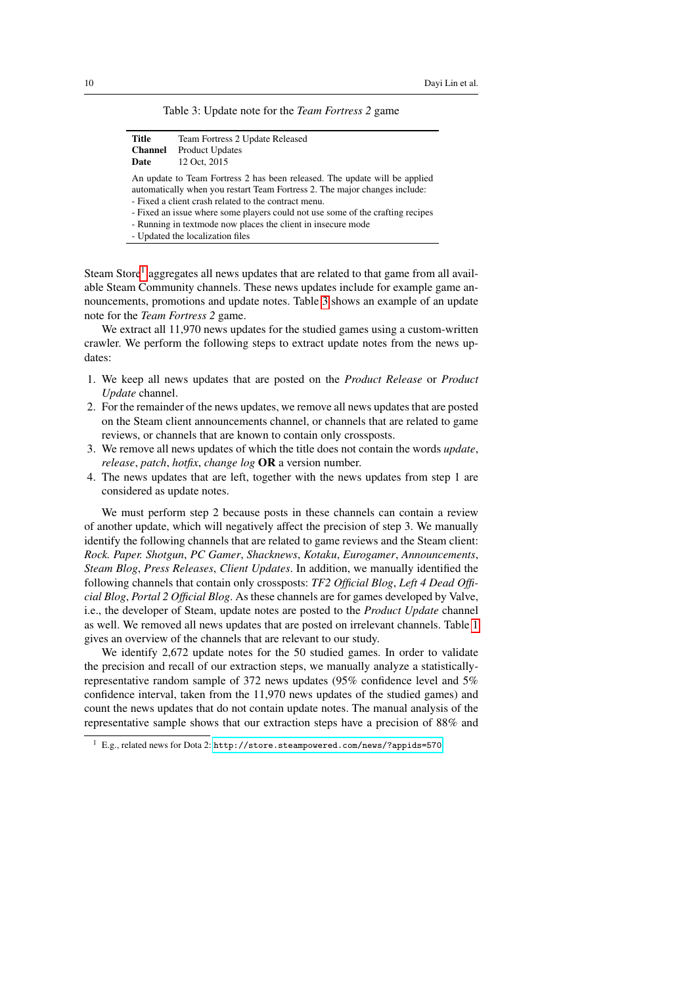|  |  |  | Table 3: Update note for the Team Fortress 2 game |  |  |  |
|--|--|--|---------------------------------------------------|--|--|--|
|--|--|--|---------------------------------------------------|--|--|--|

<span id="page-9-1"></span>

| Title          | Team Fortress 2 Update Released                                            |
|----------------|----------------------------------------------------------------------------|
| <b>Channel</b> | <b>Product Updates</b>                                                     |
| Date           | 12 Oct. 2015                                                               |
|                | An update to Team Fortress 2 has been released. The update will be applied |
|                | automatically when you restart Team Fortress 2. The major changes include: |

- Fixed a client crash related to the contract menu.
- Fixed an issue where some players could not use some of the crafting recipes
- Running in textmode now places the client in insecure mode
- Updated the localization files

Steam Store<sup>[1](#page-9-0)</sup> aggregates all news updates that are related to that game from all available Steam Community channels. These news updates include for example game announcements, promotions and update notes. Table [3](#page-9-1) shows an example of an update note for the *Team Fortress 2* game.

We extract all 11,970 news updates for the studied games using a custom-written crawler. We perform the following steps to extract update notes from the news updates:

- 1. We keep all news updates that are posted on the *Product Release* or *Product Update* channel.
- 2. For the remainder of the news updates, we remove all news updates that are posted on the Steam client announcements channel, or channels that are related to game reviews, or channels that are known to contain only crossposts.
- 3. We remove all news updates of which the title does not contain the words *update*, *release*, *patch*, *hotfix*, *change log* OR a version number.
- 4. The news updates that are left, together with the news updates from step 1 are considered as update notes.

We must perform step 2 because posts in these channels can contain a review of another update, which will negatively affect the precision of step 3. We manually identify the following channels that are related to game reviews and the Steam client: *Rock. Paper. Shotgun*, *PC Gamer*, *Shacknews*, *Kotaku*, *Eurogamer*, *Announcements*, *Steam Blog*, *Press Releases*, *Client Updates*. In addition, we manually identified the following channels that contain only crossposts: *TF2 Official Blog*, *Left 4 Dead Official Blog*, *Portal 2 Official Blog*. As these channels are for games developed by Valve, i.e., the developer of Steam, update notes are posted to the *Product Update* channel as well. We removed all news updates that are posted on irrelevant channels. Table [1](#page-3-0) gives an overview of the channels that are relevant to our study.

We identify 2,672 update notes for the 50 studied games. In order to validate the precision and recall of our extraction steps, we manually analyze a statisticallyrepresentative random sample of 372 news updates (95% confidence level and 5% confidence interval, taken from the 11,970 news updates of the studied games) and count the news updates that do not contain update notes. The manual analysis of the representative sample shows that our extraction steps have a precision of 88% and

<span id="page-9-0"></span><sup>1</sup> E.g., related news for Dota 2: <http://store.steampowered.com/news/?appids=570>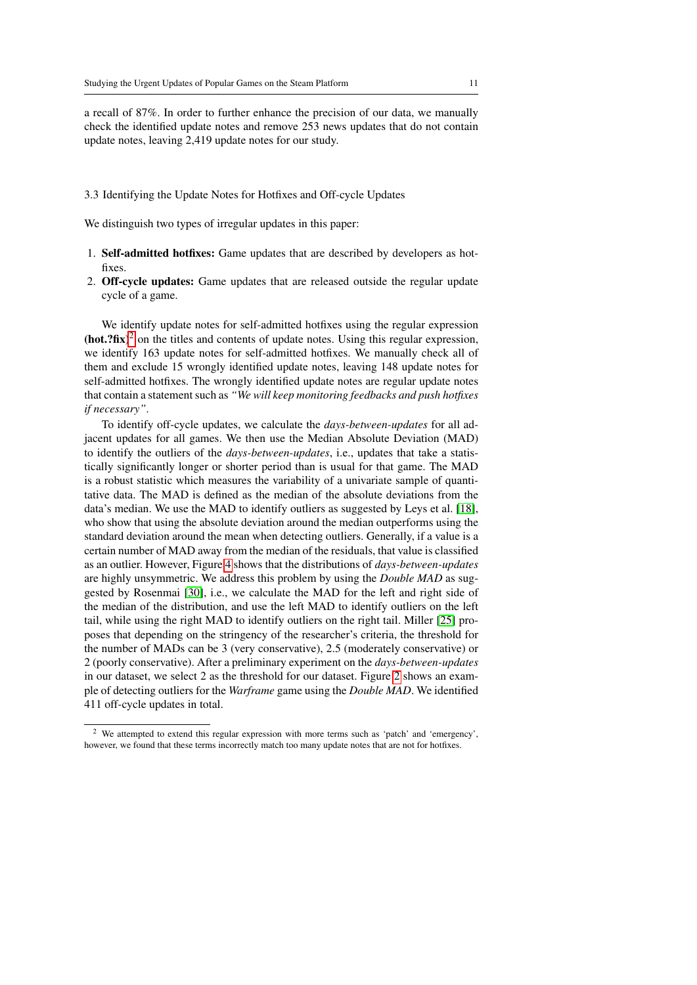a recall of 87%. In order to further enhance the precision of our data, we manually check the identified update notes and remove 253 news updates that do not contain update notes, leaving 2,419 update notes for our study.

#### 3.3 Identifying the Update Notes for Hotfixes and Off-cycle Updates

We distinguish two types of irregular updates in this paper:

- 1. Self-admitted hotfixes: Game updates that are described by developers as hotfixes.
- 2. Off-cycle updates: Game updates that are released outside the regular update cycle of a game.

We identify update notes for self-admitted hotfixes using the regular expression  $(hot.?\text{fix})^2$  $(hot.?\text{fix})^2$  on the titles and contents of update notes. Using this regular expression, we identify 163 update notes for self-admitted hotfixes. We manually check all of them and exclude 15 wrongly identified update notes, leaving 148 update notes for self-admitted hotfixes. The wrongly identified update notes are regular update notes that contain a statement such as *"We will keep monitoring feedbacks and push hotfixes if necessary"*.

To identify off-cycle updates, we calculate the *days-between-updates* for all adjacent updates for all games. We then use the Median Absolute Deviation (MAD) to identify the outliers of the *days-between-updates*, i.e., updates that take a statistically significantly longer or shorter period than is usual for that game. The MAD is a robust statistic which measures the variability of a univariate sample of quantitative data. The MAD is defined as the median of the absolute deviations from the data's median. We use the MAD to identify outliers as suggested by Leys et al. [\[18\]](#page-30-9), who show that using the absolute deviation around the median outperforms using the standard deviation around the mean when detecting outliers. Generally, if a value is a certain number of MAD away from the median of the residuals, that value is classified as an outlier. However, Figure [4](#page-16-0) shows that the distributions of *days-between-updates* are highly unsymmetric. We address this problem by using the *Double MAD* as suggested by Rosenmai [\[30\]](#page-31-8), i.e., we calculate the MAD for the left and right side of the median of the distribution, and use the left MAD to identify outliers on the left tail, while using the right MAD to identify outliers on the right tail. Miller [\[25\]](#page-30-10) proposes that depending on the stringency of the researcher's criteria, the threshold for the number of MADs can be 3 (very conservative), 2.5 (moderately conservative) or 2 (poorly conservative). After a preliminary experiment on the *days-between-updates* in our dataset, we select 2 as the threshold for our dataset. Figure [2](#page-11-1) shows an example of detecting outliers for the *Warframe* game using the *Double MAD*. We identified 411 off-cycle updates in total.

<span id="page-10-0"></span><sup>2</sup> We attempted to extend this regular expression with more terms such as 'patch' and 'emergency', however, we found that these terms incorrectly match too many update notes that are not for hotfixes.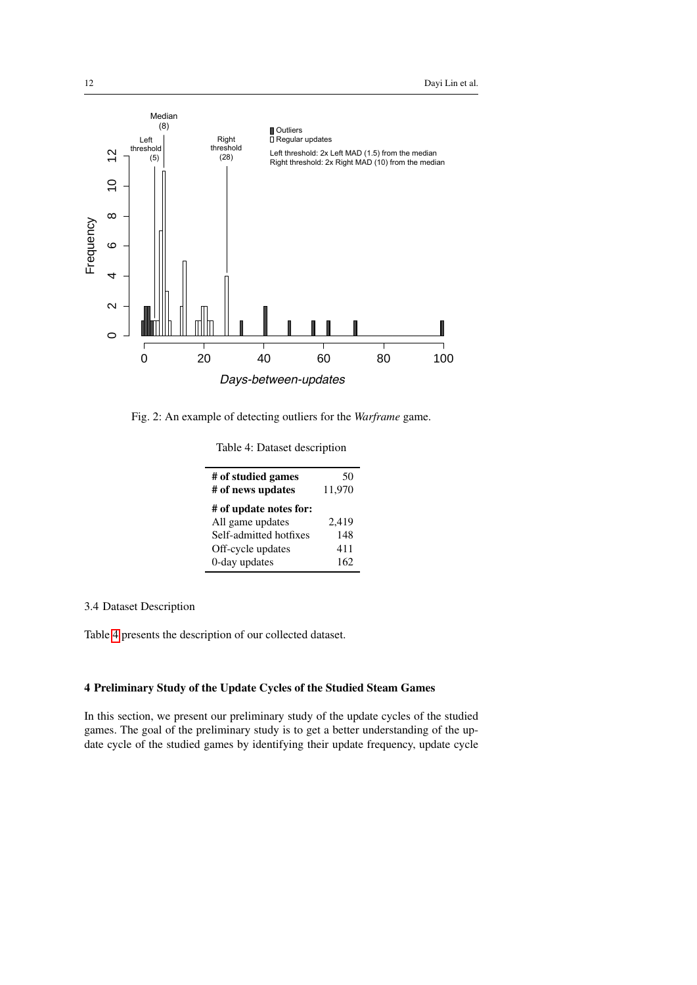<span id="page-11-1"></span>

<span id="page-11-2"></span>Fig. 2: An example of detecting outliers for the *Warframe* game.

| Table 4: Dataset description |
|------------------------------|
|                              |

| # of studied games<br># of news updates | 50<br>11,970 |
|-----------------------------------------|--------------|
| # of update notes for:                  |              |
| All game updates                        | 2,419        |
| Self-admitted hotfixes                  | 148          |
| Off-cycle updates                       | 411          |
| 0-day updates                           | 162          |

# 3.4 Dataset Description

Table [4](#page-11-2) presents the description of our collected dataset.

# <span id="page-11-0"></span>4 Preliminary Study of the Update Cycles of the Studied Steam Games

In this section, we present our preliminary study of the update cycles of the studied games. The goal of the preliminary study is to get a better understanding of the update cycle of the studied games by identifying their update frequency, update cycle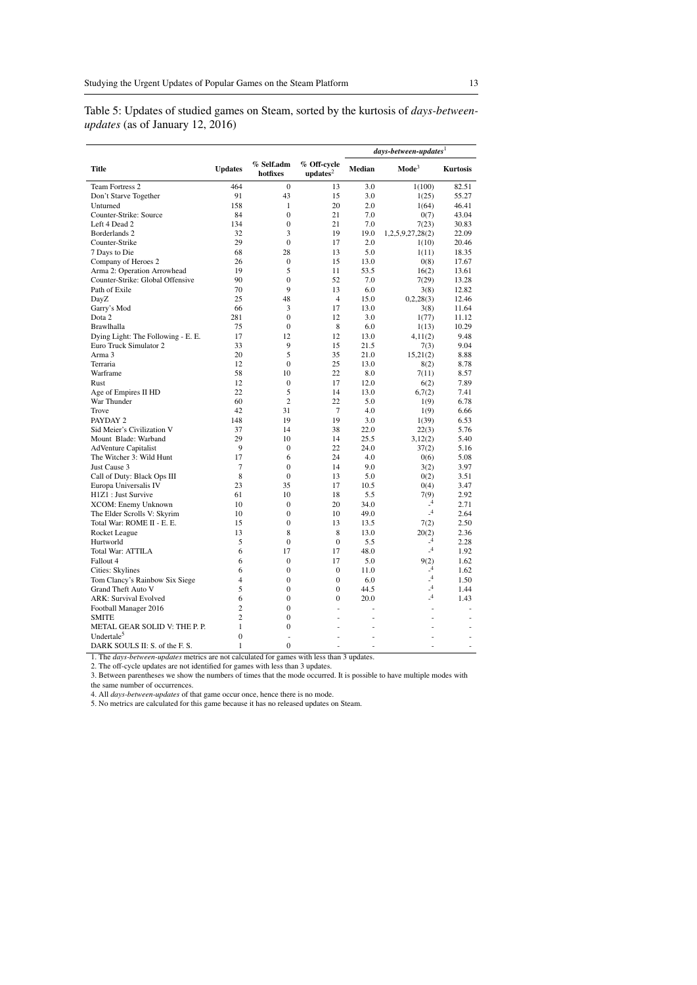<span id="page-12-0"></span>Table 5: Updates of studied games on Steam, sorted by the kurtosis of *days-betweenupdates* (as of January 12, 2016)

|                                    |                |                        |                          |        | $\emph{days-between-up dates}^1$ |                 |
|------------------------------------|----------------|------------------------|--------------------------|--------|----------------------------------|-----------------|
| Title                              | <b>Updates</b> | % Self.adm<br>hotfixes | % Off-cycle<br>$update2$ | Median | $\mathbf{Mode}^3$                | <b>Kurtosis</b> |
| Team Fortress 2                    | 464            | $\mathbf{0}$           | 13                       | 3.0    | 1(100)                           | 82.51           |
| Don't Starve Together              | 91             | 43                     | 15                       | 3.0    | 1(25)                            | 55.27           |
| Unturned                           | 158            | $\mathbf{1}$           | 20                       | 2.0    | 1(64)                            | 46.41           |
| Counter-Strike: Source             | 84             | $\mathbf{0}$           | 21                       | 7.0    | 0(7)                             | 43.04           |
| Left 4 Dead 2                      | 134            | $\overline{0}$         | 21                       | 7.0    | 7(23)                            | 30.83           |
| Borderlands 2                      | 32             | 3                      | 19                       | 19.0   | 1,2,5,9,27,28(2)                 | 22.09           |
| Counter-Strike                     | 29             | $\Omega$               | 17                       | 2.0    | 1(10)                            | 20.46           |
| 7 Days to Die                      | 68             | 28                     | 13                       | 5.0    | 1(11)                            | 18.35           |
| Company of Heroes 2                | 26             | $\Omega$               | 15                       | 13.0   | 0(8)                             | 17.67           |
| Arma 2: Operation Arrowhead        | 19             | 5                      | 11                       | 53.5   | 16(2)                            | 13.61           |
| Counter-Strike: Global Offensive   | 90             | $\mathbf{0}$           | 52                       | 7.0    | 7(29)                            | 13.28           |
| Path of Exile                      | 70             | $\mathbf Q$            | 13                       | 6.0    | 3(8)                             | 12.82           |
| DavZ                               | 25             | 48                     | $\overline{4}$           | 15.0   | 0,2,28(3)                        | 12.46           |
| Garry's Mod                        | 66             | 3                      | 17                       | 13.0   | 3(8)                             | 11.64           |
| Dota 2                             | 281            | $\mathbf{0}$           | 12                       | 3.0    | 1(77)                            | 11.12           |
| Brawlhalla                         | 75             | $\mathbf{0}$           | 8                        | 6.0    | 1(13)                            | 10.29           |
| Dying Light: The Following - E. E. | 17             | 12                     | 12                       | 13.0   | 4,11(2)                          | 9.48            |
| Euro Truck Simulator 2             | 33             | 9                      | 15                       | 21.5   | 7(3)                             | 9.04            |
| Arma 3                             | 20             | 5                      | 35                       | 21.0   | 15,21(2)                         | 8.88            |
| Terraria                           | 12             | $\overline{0}$         | 25                       | 13.0   | 8(2)                             | 8.78            |
| Warframe                           | 58             | 10                     | 22                       | 8.0    | 7(11)                            | 8.57            |
| Rust                               | 12             | $\boldsymbol{0}$       | 17                       | 12.0   | 6(2)                             | 7.89            |
| Age of Empires II HD               | 22             | 5                      | 14                       | 13.0   | 6,7(2)                           | 7.41            |
| War Thunder                        | 60             | $\overline{c}$         | 22                       | 5.0    | 1(9)                             | 6.78            |
| Trove                              | 42             | 31                     | 7                        | 4.0    | 1(9)                             | 6.66            |
| PAYDAY 2                           | 148            | 19                     | 19                       | 3.0    | 1(39)                            | 6.53            |
| Sid Meier's Civilization V         | 37             | 14                     | 38                       | 22.0   | 22(3)                            | 5.76            |
| Mount Blade: Warband               | 29             | 10                     | 14                       | 25.5   | 3,12(2)                          | 5.40            |
| <b>AdVenture Capitalist</b>        | 9              | $\mathbf{0}$           | 22                       | 24.0   | 37(2)                            | 5.16            |
| The Witcher 3: Wild Hunt           | 17             | 6                      | 24                       | 4.0    | 0(6)                             | 5.08            |
| Just Cause 3                       | $\overline{7}$ | $\mathbf{0}$           | 14                       | 9.0    | 3(2)                             | 3.97            |
| Call of Duty: Black Ops III        | 8              | $\mathbf{0}$           | 13                       | 5.0    | 0(2)                             | 3.51            |
| Europa Universalis IV              | 23             | 35                     | 17                       | 10.5   | 0(4)                             | 3.47            |
| H1Z1 : Just Survive                | 61             | 10                     | 18                       | 5.5    | 7(9)                             | 2.92            |
| XCOM: Enemy Unknown                | 10             | $\boldsymbol{0}$       | 20                       | 34.0   | $\mathcal{A}$                    | 2.71            |
| The Elder Scrolls V: Skyrim        | 10             | $\mathbf{0}$           | 10                       | 49.0   | $^{\circ}$                       | 2.64            |
| Total War: ROME II - E. E.         | 15             | $\boldsymbol{0}$       | 13                       | 13.5   | 7(2)                             | 2.50            |
| Rocket League                      | 13             | 8                      | 8                        | 13.0   | 20(2)                            | 2.36            |
| Hurtworld                          | 5              | $\boldsymbol{0}$       | $\mathbf{0}$             | 5.5    | $\mathcal{A}$                    | 2.28            |
| Total War: ATTILA                  | 6              | 17                     | 17                       | 48.0   | $^{4}$                           | 1.92            |
| Fallout 4                          | 6              | $\mathbf{0}$           | 17                       | 5.0    | 9(2)                             | 1.62            |
| Cities: Skylines                   | 6              | $\boldsymbol{0}$       | $\mathbf{0}$             | 11.0   | $^{4}$                           | 1.62            |
| Tom Clancy's Rainbow Six Siege     | 4              | $\mathbf{0}$           | $\theta$                 | 6.0    | $-4$                             | 1.50            |
| Grand Theft Auto V                 | 5              | $\boldsymbol{0}$       | $\mathbf{0}$             | 44.5   | $^{4}$                           | 1.44            |
| <b>ARK: Survival Evolved</b>       | 6              | $\mathbf{0}$           | $\mathbf{0}$             | 20.0   | $-4$                             | 1.43            |
| Football Manager 2016              | $\overline{c}$ | $\boldsymbol{0}$       | ÷                        | ä,     | ×.                               | ä,              |
| <b>SMITE</b>                       | $\overline{c}$ | $\mathbf{0}$           |                          |        |                                  |                 |
| METAL GEAR SOLID V: THE P.P.       | $\mathbf{1}$   | $\mathbf{0}$           |                          |        |                                  |                 |
| Undertale <sup>5</sup>             | $\theta$       |                        |                          |        |                                  |                 |
| DARK SOULS II: S. of the F. S.     | 1              | $\mathbf{0}$           |                          | ä,     |                                  | ٠               |

1. The *days-between-updates* metrics are not calculated for games with less than 3 updates.

2. The off-cycle updates are not identified for games with less than 3 updates. 3. Between parentheses we show the numbers of times that the mode occurred. It is possible to have multiple modes with the same number of occurrences.

4. All *days-between-updates* of that game occur once, hence there is no mode. 5. No metrics are calculated for this game because it has no released updates on Steam.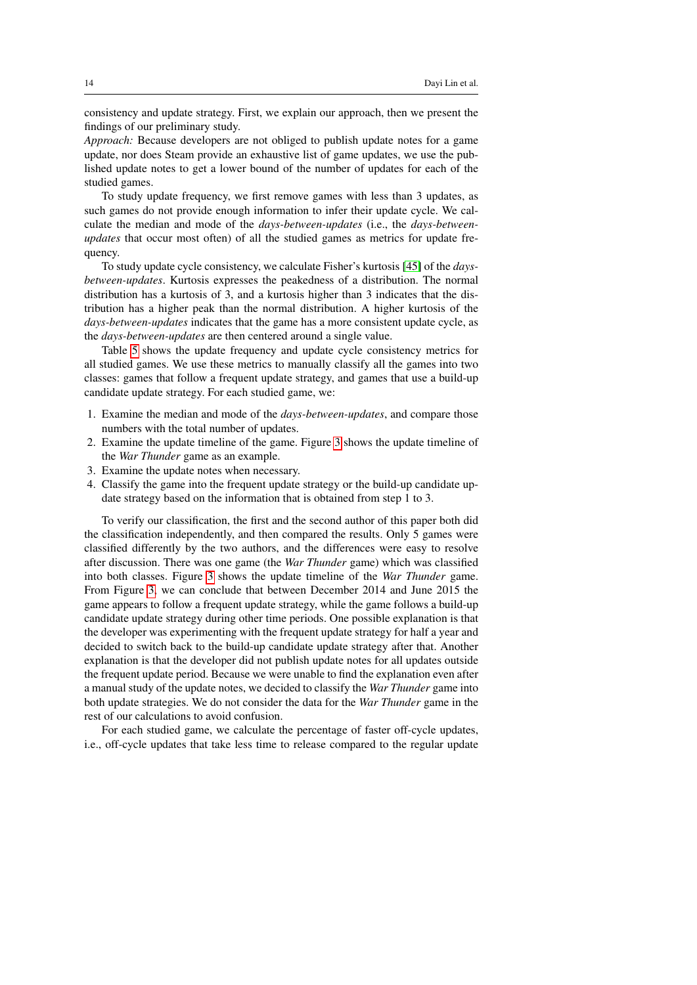consistency and update strategy. First, we explain our approach, then we present the findings of our preliminary study.

*Approach:* Because developers are not obliged to publish update notes for a game update, nor does Steam provide an exhaustive list of game updates, we use the published update notes to get a lower bound of the number of updates for each of the studied games.

To study update frequency, we first remove games with less than 3 updates, as such games do not provide enough information to infer their update cycle. We calculate the median and mode of the *days-between-updates* (i.e., the *days-betweenupdates* that occur most often) of all the studied games as metrics for update frequency.

To study update cycle consistency, we calculate Fisher's kurtosis [\[45\]](#page-32-0) of the *daysbetween-updates*. Kurtosis expresses the peakedness of a distribution. The normal distribution has a kurtosis of 3, and a kurtosis higher than 3 indicates that the distribution has a higher peak than the normal distribution. A higher kurtosis of the *days-between-updates* indicates that the game has a more consistent update cycle, as the *days-between-updates* are then centered around a single value.

Table [5](#page-12-0) shows the update frequency and update cycle consistency metrics for all studied games. We use these metrics to manually classify all the games into two classes: games that follow a frequent update strategy, and games that use a build-up candidate update strategy. For each studied game, we:

- 1. Examine the median and mode of the *days-between-updates*, and compare those numbers with the total number of updates.
- 2. Examine the update timeline of the game. Figure [3](#page-14-0) shows the update timeline of the *War Thunder* game as an example.
- 3. Examine the update notes when necessary.
- 4. Classify the game into the frequent update strategy or the build-up candidate update strategy based on the information that is obtained from step 1 to 3.

To verify our classification, the first and the second author of this paper both did the classification independently, and then compared the results. Only 5 games were classified differently by the two authors, and the differences were easy to resolve after discussion. There was one game (the *War Thunder* game) which was classified into both classes. Figure [3](#page-14-0) shows the update timeline of the *War Thunder* game. From Figure [3,](#page-14-0) we can conclude that between December 2014 and June 2015 the game appears to follow a frequent update strategy, while the game follows a build-up candidate update strategy during other time periods. One possible explanation is that the developer was experimenting with the frequent update strategy for half a year and decided to switch back to the build-up candidate update strategy after that. Another explanation is that the developer did not publish update notes for all updates outside the frequent update period. Because we were unable to find the explanation even after a manual study of the update notes, we decided to classify the *War Thunder* game into both update strategies. We do not consider the data for the *War Thunder* game in the rest of our calculations to avoid confusion.

For each studied game, we calculate the percentage of faster off-cycle updates, i.e., off-cycle updates that take less time to release compared to the regular update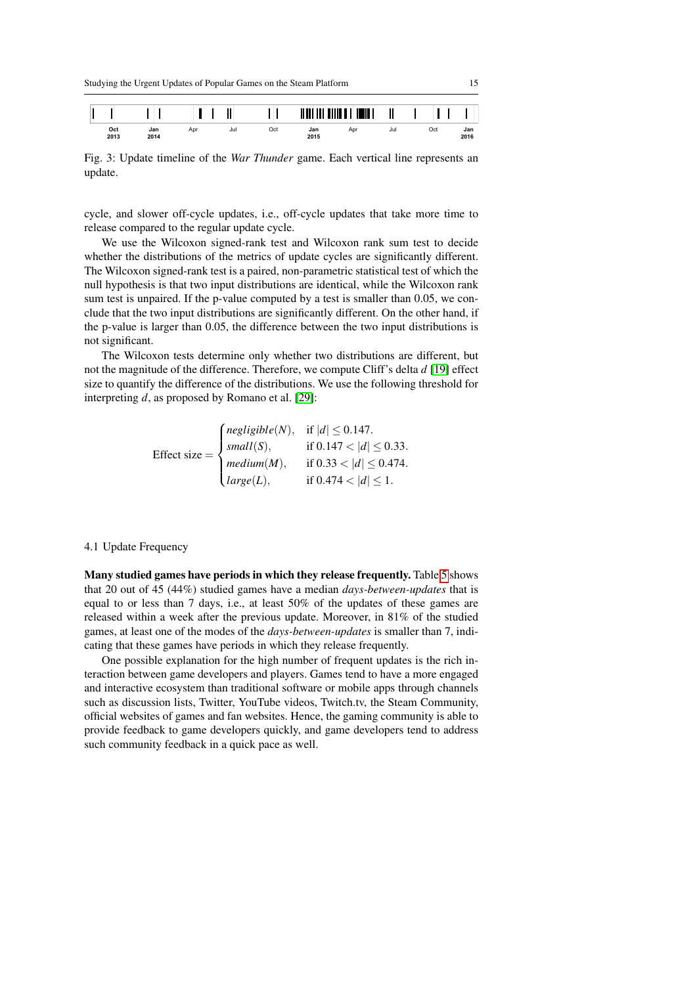

<span id="page-14-0"></span>

Fig. 3: Update timeline of the *War Thunder* game. Each vertical line represents an update.

cycle, and slower off-cycle updates, i.e., off-cycle updates that take more time to release compared to the regular update cycle.

We use the Wilcoxon signed-rank test and Wilcoxon rank sum test to decide whether the distributions of the metrics of update cycles are significantly different. The Wilcoxon signed-rank test is a paired, non-parametric statistical test of which the null hypothesis is that two input distributions are identical, while the Wilcoxon rank sum test is unpaired. If the p-value computed by a test is smaller than 0.05, we conclude that the two input distributions are significantly different. On the other hand, if the p-value is larger than 0.05, the difference between the two input distributions is not significant.

The Wilcoxon tests determine only whether two distributions are different, but not the magnitude of the difference. Therefore, we compute Cliff's delta *d* [\[19\]](#page-30-11) effect size to quantify the difference of the distributions. We use the following threshold for interpreting *d*, as proposed by Romano et al. [\[29\]](#page-31-9):

Effect size = 
$$
\begin{cases} negligible(N), & \text{if } |d| \le 0.147. \\ small(S), & \text{if } 0.147 < |d| \le 0.33. \\ medium(M), & \text{if } 0.33 < |d| \le 0.474. \\ large(L), & \text{if } 0.474 < |d| \le 1. \end{cases}
$$

## 4.1 Update Frequency

Many studied games have periods in which they release frequently. Table [5](#page-12-0) shows that 20 out of 45 (44%) studied games have a median *days-between-updates* that is equal to or less than 7 days, i.e., at least 50% of the updates of these games are released within a week after the previous update. Moreover, in 81% of the studied games, at least one of the modes of the *days-between-updates* is smaller than 7, indicating that these games have periods in which they release frequently.

One possible explanation for the high number of frequent updates is the rich interaction between game developers and players. Games tend to have a more engaged and interactive ecosystem than traditional software or mobile apps through channels such as discussion lists, Twitter, YouTube videos, Twitch.tv, the Steam Community, official websites of games and fan websites. Hence, the gaming community is able to provide feedback to game developers quickly, and game developers tend to address such community feedback in a quick pace as well.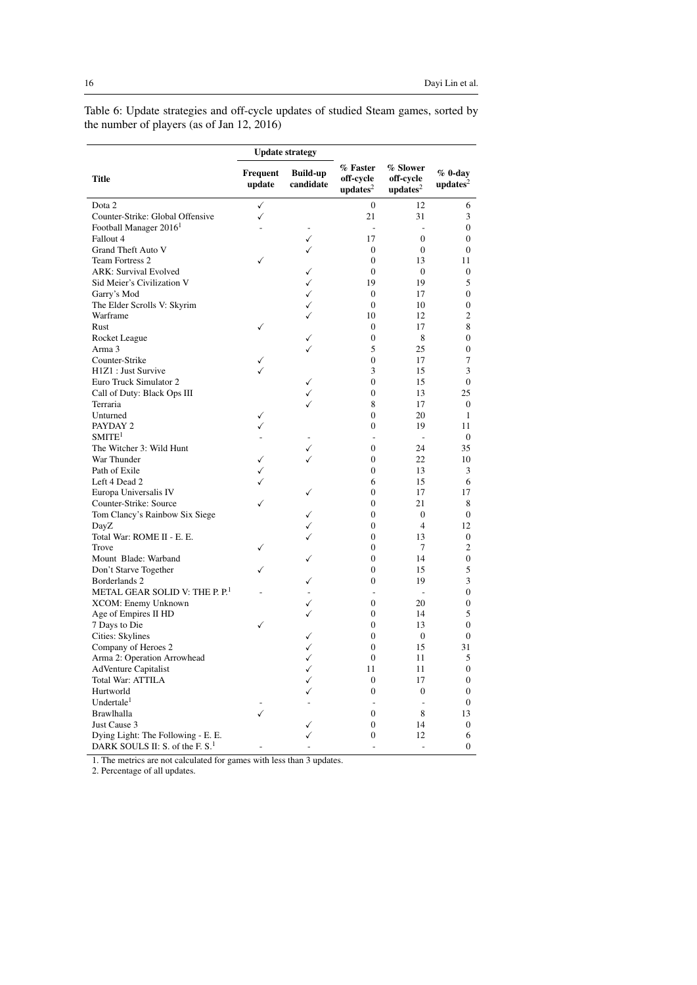<span id="page-15-0"></span>Table 6: Update strategies and off-cycle updates of studied Steam games, sorted by the number of players (as of Jan 12, 2016)

|                                             |                    | <b>Update strategy</b>       |                                    |                                    |                                |
|---------------------------------------------|--------------------|------------------------------|------------------------------------|------------------------------------|--------------------------------|
| <b>Title</b>                                | Frequent<br>update | <b>Build-up</b><br>candidate | % Faster<br>off-cycle<br>$update2$ | % Slower<br>off-cycle<br>$update2$ | $%$ 0-day<br>$\text{update}^2$ |
| Dota 2                                      | ✓                  |                              | $\boldsymbol{0}$                   | 12                                 | 6                              |
| Counter-Strike: Global Offensive            | ✓                  |                              | 21                                 | 31                                 | 3                              |
| Football Manager 2016 <sup>1</sup>          |                    |                              | $\overline{a}$                     | ÷,                                 | $\boldsymbol{0}$               |
| Fallout 4                                   |                    | ✓                            | 17                                 | $\mathbf{0}$                       | $\boldsymbol{0}$               |
| Grand Theft Auto V                          |                    | ✓                            | $\mathbf{0}$                       | $\mathbf{0}$                       | $\mathbf{0}$                   |
| <b>Team Fortress 2</b>                      | ✓                  |                              | $\boldsymbol{0}$                   | 13                                 | 11                             |
| <b>ARK: Survival Evolved</b>                |                    | ✓                            | $\boldsymbol{0}$                   | $\mathbf{0}$                       | 0                              |
| Sid Meier's Civilization V                  |                    | ✓                            | 19                                 | 19                                 | 5                              |
| Garry's Mod                                 |                    | ✓                            | $\mathbf{0}$                       | 17                                 | $\mathbf{0}$                   |
| The Elder Scrolls V: Skyrim                 |                    | ✓                            | $\boldsymbol{0}$                   | 10                                 | $\boldsymbol{0}$               |
| Warframe                                    |                    |                              | 10                                 | 12                                 | 2                              |
| Rust                                        | ✓                  |                              | $\mathbf{0}$                       | 17                                 | 8                              |
| Rocket League                               |                    | ✓                            | $\boldsymbol{0}$                   | 8                                  | 0                              |
| Arma 3                                      |                    |                              | 5                                  | 25                                 | 0                              |
| Counter-Strike                              | ✓                  |                              | $\boldsymbol{0}$                   | 17                                 | 7                              |
| H1Z1 : Just Survive                         |                    |                              | 3                                  | 15                                 | 3                              |
| Euro Truck Simulator 2                      |                    | ✓                            | $\boldsymbol{0}$                   | 15                                 | $\boldsymbol{0}$               |
| Call of Duty: Black Ops III                 |                    |                              | $\mathbf{0}$                       | 13                                 | 25                             |
| Terraria                                    |                    |                              | 8                                  | 17                                 | $\mathbf{0}$                   |
| Unturned                                    | ✓                  |                              | $\boldsymbol{0}$                   | 20                                 | 1                              |
| PAYDAY 2                                    | ✓                  |                              | $\boldsymbol{0}$                   | 19                                 | 11                             |
| $S$ MITE <sup>1</sup>                       |                    |                              | $\overline{a}$                     | $\overline{\phantom{a}}$           | $\mathbf{0}$                   |
| The Witcher 3: Wild Hunt                    |                    | ✓                            | $\boldsymbol{0}$                   | 24                                 | 35                             |
| War Thunder                                 | ✓                  | ✓                            | $\boldsymbol{0}$                   | 22                                 | 10                             |
| Path of Exile                               |                    |                              | $\mathbf{0}$                       | 13                                 |                                |
|                                             | ✓<br>$\checkmark$  |                              |                                    |                                    | 3<br>6                         |
| Left 4 Dead 2                               |                    |                              | 6                                  | 15                                 |                                |
| Europa Universalis IV                       | $\checkmark$       | ✓                            | $\boldsymbol{0}$                   | 17                                 | 17                             |
| Counter-Strike: Source                      |                    |                              | $\boldsymbol{0}$                   | 21                                 | 8                              |
| Tom Clancy's Rainbow Six Siege              |                    | ✓                            | $\mathbf{0}$                       | $\mathbf{0}$                       | $\mathbf{0}$                   |
| DayZ                                        |                    |                              | $\boldsymbol{0}$                   | $\overline{4}$                     | 12                             |
| Total War: ROME II - E. E.                  |                    |                              | $\boldsymbol{0}$                   | 13                                 | $\boldsymbol{0}$               |
| Trove                                       | ✓                  |                              | $\mathbf{0}$                       | 7                                  | 2                              |
| Mount Blade: Warband                        |                    | ✓                            | $\overline{0}$                     | 14                                 | $\boldsymbol{0}$               |
| Don't Starve Together                       | ✓                  |                              | $\boldsymbol{0}$                   | 15                                 | 5                              |
| Borderlands 2                               |                    |                              | $\boldsymbol{0}$                   | 19                                 | 3                              |
| METAL GEAR SOLID V: THE P. P.               |                    |                              | $\overline{a}$                     | $\overline{\phantom{a}}$           | $\mathbf{0}$                   |
| XCOM: Enemy Unknown                         |                    | ✓                            | 0                                  | 20                                 | $\boldsymbol{0}$               |
| Age of Empires II HD                        |                    |                              | $\boldsymbol{0}$                   | 14                                 | 5                              |
| 7 Days to Die                               | ✓                  |                              | $\mathbf{0}$                       | 13                                 | $\mathbf{0}$                   |
| Cities: Skylines                            |                    | ✓                            | $\boldsymbol{0}$                   | $\bf{0}$                           | 0                              |
| Company of Heroes 2                         |                    | ✓                            | $\boldsymbol{0}$                   | 15                                 | 31                             |
| Arma 2: Operation Arrowhead                 |                    | ✓                            | $\mathbf{0}$                       | 11                                 | 5                              |
| <b>AdVenture Capitalist</b>                 |                    | ✓                            | 11                                 | 11                                 | 0                              |
| Total War: ATTILA                           |                    |                              | 0                                  | 17                                 | 0                              |
| Hurtworld                                   |                    |                              | $\boldsymbol{0}$                   | $\boldsymbol{0}$                   | 0                              |
| Undertale <sup>1</sup>                      |                    |                              |                                    | $\overline{a}$                     | 0                              |
| Brawlhalla                                  | ✓                  |                              | $\boldsymbol{0}$                   | 8                                  | 13                             |
| Just Cause 3                                |                    |                              | 0                                  | 14                                 | 0                              |
| Dying Light: The Following - E. E.          |                    |                              | 0                                  | 12                                 | 6                              |
| DARK SOULS II: S. of the F. S. <sup>1</sup> |                    |                              |                                    |                                    | 0                              |

1. The metrics are not calculated for games with less than 3 updates.

2. Percentage of all updates.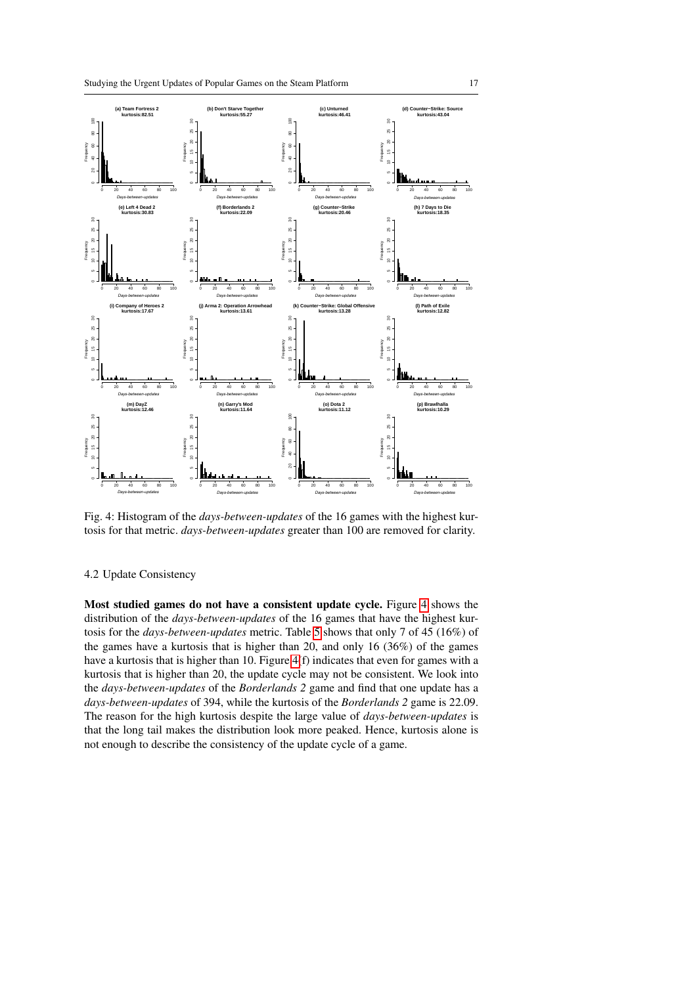<span id="page-16-0"></span>

Fig. 4: Histogram of the *days-between-updates* of the 16 games with the highest kurtosis for that metric. *days-between-updates* greater than 100 are removed for clarity.

# 4.2 Update Consistency

Most studied games do not have a consistent update cycle. Figure [4](#page-16-0) shows the distribution of the *days-between-updates* of the 16 games that have the highest kurtosis for the *days-between-updates* metric. Table [5](#page-12-0) shows that only 7 of 45 (16%) of the games have a kurtosis that is higher than 20, and only 16 (36%) of the games have a kurtosis that is higher than 10. Figure [4\(](#page-16-0)f) indicates that even for games with a kurtosis that is higher than 20, the update cycle may not be consistent. We look into the *days-between-updates* of the *Borderlands 2* game and find that one update has a *days-between-updates* of 394, while the kurtosis of the *Borderlands 2* game is 22.09. The reason for the high kurtosis despite the large value of *days-between-updates* is that the long tail makes the distribution look more peaked. Hence, kurtosis alone is not enough to describe the consistency of the update cycle of a game.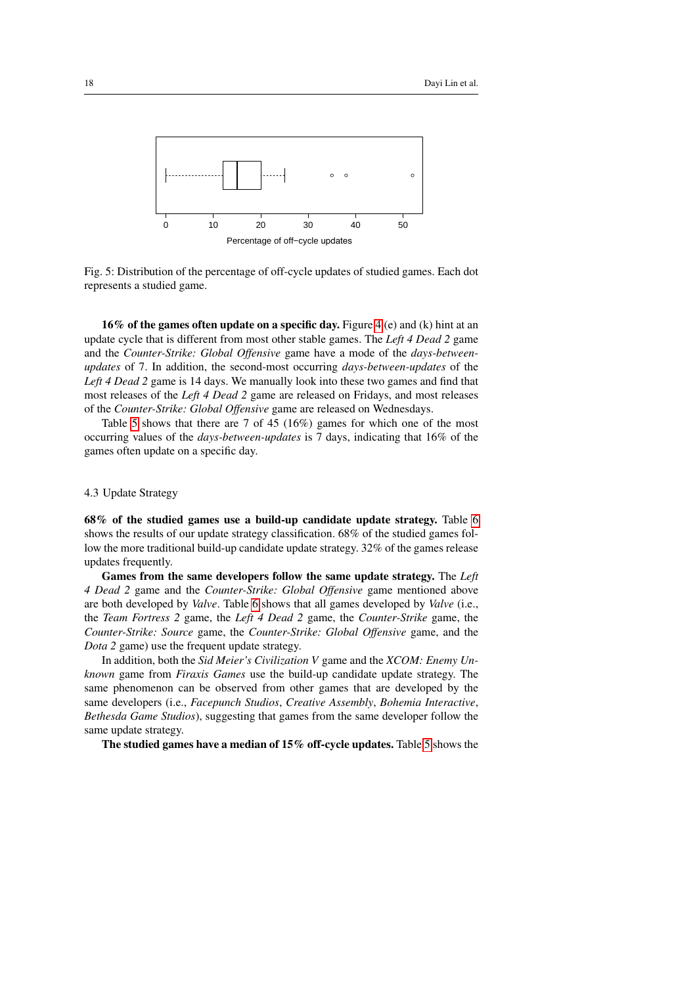<span id="page-17-0"></span>

Fig. 5: Distribution of the percentage of off-cycle updates of studied games. Each dot represents a studied game.

16% of the games often update on a specific day. Figure [4](#page-16-0) (e) and (k) hint at an update cycle that is different from most other stable games. The *Left 4 Dead 2* game and the *Counter-Strike: Global Offensive* game have a mode of the *days-betweenupdates* of 7. In addition, the second-most occurring *days-between-updates* of the *Left 4 Dead 2* game is 14 days. We manually look into these two games and find that most releases of the *Left 4 Dead 2* game are released on Fridays, and most releases of the *Counter-Strike: Global Offensive* game are released on Wednesdays.

Table [5](#page-12-0) shows that there are 7 of 45 (16%) games for which one of the most occurring values of the *days-between-updates* is 7 days, indicating that 16% of the games often update on a specific day.

# 4.3 Update Strategy

68% of the studied games use a build-up candidate update strategy. Table [6](#page-15-0) shows the results of our update strategy classification. 68% of the studied games follow the more traditional build-up candidate update strategy. 32% of the games release updates frequently.

Games from the same developers follow the same update strategy. The *Left 4 Dead 2* game and the *Counter-Strike: Global Offensive* game mentioned above are both developed by *Valve*. Table [6](#page-15-0) shows that all games developed by *Valve* (i.e., the *Team Fortress 2* game, the *Left 4 Dead 2* game, the *Counter-Strike* game, the *Counter-Strike: Source* game, the *Counter-Strike: Global Offensive* game, and the *Dota 2* game) use the frequent update strategy.

In addition, both the *Sid Meier's Civilization V* game and the *XCOM: Enemy Unknown* game from *Firaxis Games* use the build-up candidate update strategy. The same phenomenon can be observed from other games that are developed by the same developers (i.e., *Facepunch Studios*, *Creative Assembly*, *Bohemia Interactive*, *Bethesda Game Studios*), suggesting that games from the same developer follow the same update strategy.

The studied games have a median of 15% off-cycle updates. Table [5](#page-12-0) shows the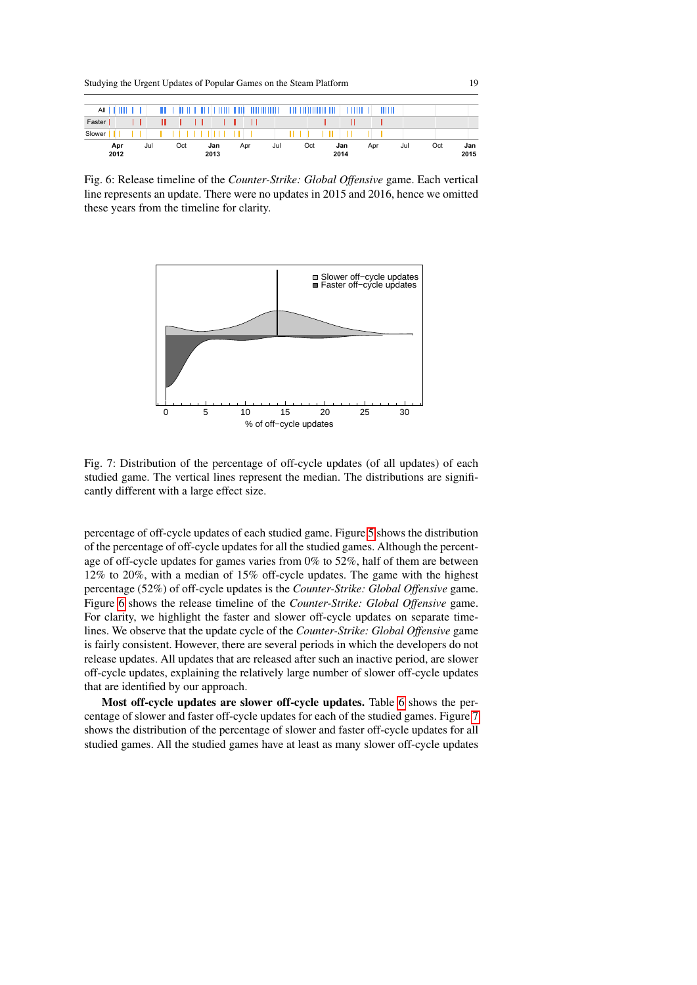Studying the Urgent Updates of Popular Games on the Steam Platform 19

<span id="page-18-0"></span>

| $All$ $  $ $  $ $  $ $  $ |     |    |     |  |     |      |   |     | <u>an a bara na baran na barannan </u> |  |     | $\pm 111$ , $\pm 111$ , $\pm 111$ , $\pm 111$ , $\pm 111$ |             | . |     | THITL |     |  |     |             |
|---------------------------|-----|----|-----|--|-----|------|---|-----|----------------------------------------|--|-----|-----------------------------------------------------------|-------------|---|-----|-------|-----|--|-----|-------------|
| Faster                    |     | Ш. |     |  |     |      |   |     |                                        |  |     |                                                           |             |   |     |       |     |  |     |             |
| Slower                    |     |    |     |  |     |      | . |     |                                        |  |     |                                                           |             |   |     |       |     |  |     |             |
| Apr<br>2012               | Jul |    | Oct |  | Jan | 2013 |   | Apr | Jul                                    |  | Oct |                                                           | Jan<br>2014 |   | Apr |       | Jul |  | Oct | Jan<br>2015 |

<span id="page-18-1"></span>Fig. 6: Release timeline of the *Counter-Strike: Global Offensive* game. Each vertical line represents an update. There were no updates in 2015 and 2016, hence we omitted these years from the timeline for clarity.



Fig. 7: Distribution of the percentage of off-cycle updates (of all updates) of each studied game. The vertical lines represent the median. The distributions are significantly different with a large effect size.

percentage of off-cycle updates of each studied game. Figure [5](#page-17-0) shows the distribution of the percentage of off-cycle updates for all the studied games. Although the percentage of off-cycle updates for games varies from 0% to 52%, half of them are between 12% to 20%, with a median of 15% off-cycle updates. The game with the highest percentage (52%) of off-cycle updates is the *Counter-Strike: Global Offensive* game. Figure [6](#page-18-0) shows the release timeline of the *Counter-Strike: Global Offensive* game. For clarity, we highlight the faster and slower off-cycle updates on separate timelines. We observe that the update cycle of the *Counter-Strike: Global Offensive* game is fairly consistent. However, there are several periods in which the developers do not release updates. All updates that are released after such an inactive period, are slower off-cycle updates, explaining the relatively large number of slower off-cycle updates that are identified by our approach.

Most off-cycle updates are slower off-cycle updates. Table [6](#page-15-0) shows the percentage of slower and faster off-cycle updates for each of the studied games. Figure [7](#page-18-1) shows the distribution of the percentage of slower and faster off-cycle updates for all studied games. All the studied games have at least as many slower off-cycle updates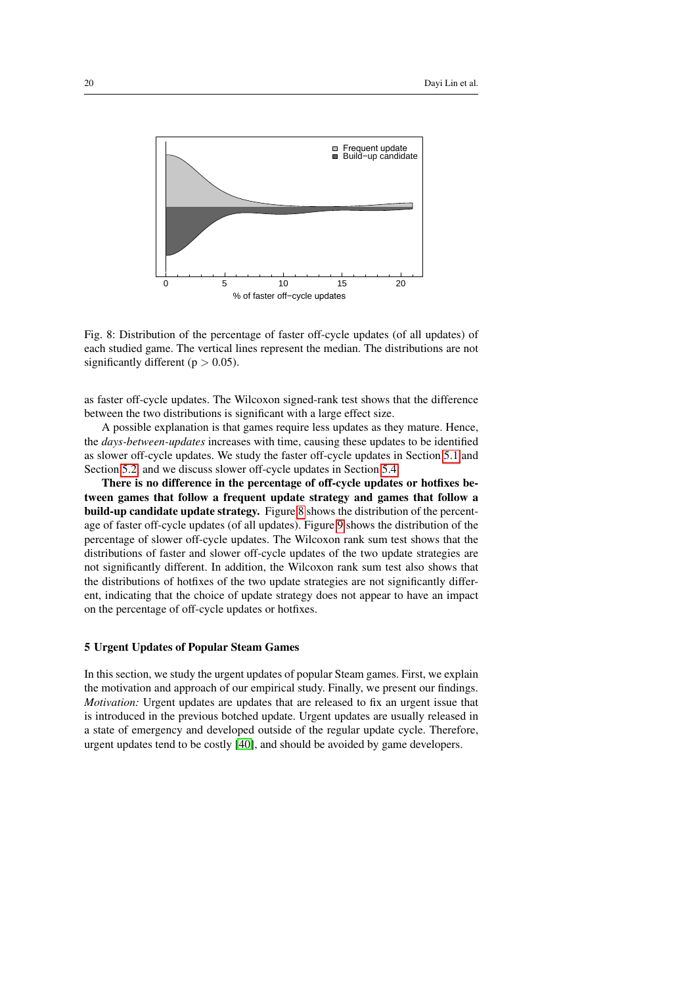<span id="page-19-1"></span>

Fig. 8: Distribution of the percentage of faster off-cycle updates (of all updates) of each studied game. The vertical lines represent the median. The distributions are not significantly different ( $p > 0.05$ ).

as faster off-cycle updates. The Wilcoxon signed-rank test shows that the difference between the two distributions is significant with a large effect size.

A possible explanation is that games require less updates as they mature. Hence, the *days-between-updates* increases with time, causing these updates to be identified as slower off-cycle updates. We study the faster off-cycle updates in Section [5.1](#page-21-0) and Section [5.2,](#page-24-0) and we discuss slower off-cycle updates in Section [5.4.](#page-27-1)

There is no difference in the percentage of off-cycle updates or hotfixes between games that follow a frequent update strategy and games that follow a build-up candidate update strategy. Figure [8](#page-19-1) shows the distribution of the percentage of faster off-cycle updates (of all updates). Figure [9](#page-20-0) shows the distribution of the percentage of slower off-cycle updates. The Wilcoxon rank sum test shows that the distributions of faster and slower off-cycle updates of the two update strategies are not significantly different. In addition, the Wilcoxon rank sum test also shows that the distributions of hotfixes of the two update strategies are not significantly different, indicating that the choice of update strategy does not appear to have an impact on the percentage of off-cycle updates or hotfixes.

# <span id="page-19-0"></span>5 Urgent Updates of Popular Steam Games

In this section, we study the urgent updates of popular Steam games. First, we explain the motivation and approach of our empirical study. Finally, we present our findings. *Motivation:* Urgent updates are updates that are released to fix an urgent issue that is introduced in the previous botched update. Urgent updates are usually released in a state of emergency and developed outside of the regular update cycle. Therefore, urgent updates tend to be costly [\[40\]](#page-31-10), and should be avoided by game developers.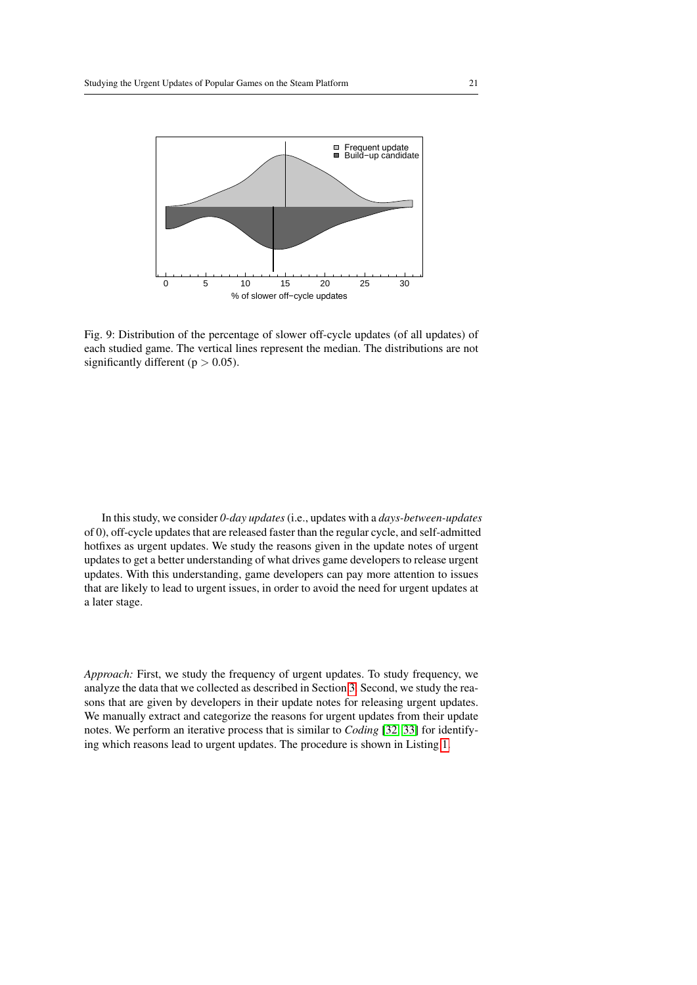<span id="page-20-0"></span>

Fig. 9: Distribution of the percentage of slower off-cycle updates (of all updates) of each studied game. The vertical lines represent the median. The distributions are not significantly different ( $p > 0.05$ ).

In this study, we consider *0-day updates*(i.e., updates with a *days-between-updates* of 0), off-cycle updates that are released faster than the regular cycle, and self-admitted hotfixes as urgent updates. We study the reasons given in the update notes of urgent updates to get a better understanding of what drives game developers to release urgent updates. With this understanding, game developers can pay more attention to issues that are likely to lead to urgent issues, in order to avoid the need for urgent updates at a later stage.

*Approach:* First, we study the frequency of urgent updates. To study frequency, we analyze the data that we collected as described in Section [3.](#page-6-0) Second, we study the reasons that are given by developers in their update notes for releasing urgent updates. We manually extract and categorize the reasons for urgent updates from their update notes. We perform an iterative process that is similar to *Coding* [\[32,](#page-31-11) [33\]](#page-31-12) for identifying which reasons lead to urgent updates. The procedure is shown in Listing [1.](#page-21-1)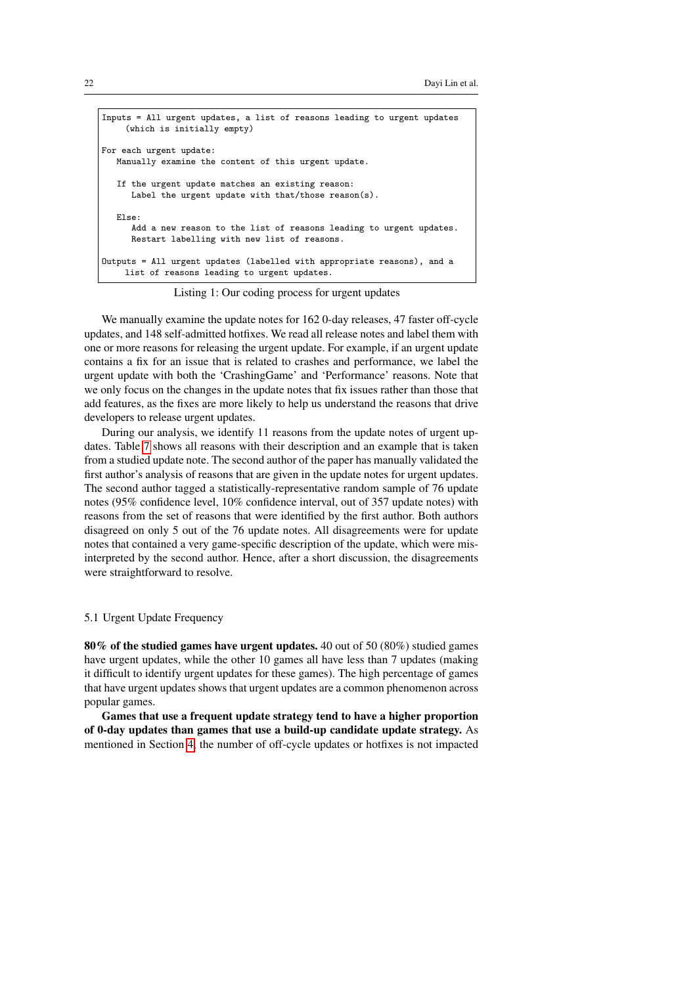```
Inputs = All urgent updates, a list of reasons leading to urgent updates
     (which is initially empty)
For each urgent update:
   Manually examine the content of this urgent update.
   If the urgent update matches an existing reason:
      Label the urgent update with that/those reason(s).
   Else:
      Add a new reason to the list of reasons leading to urgent updates.
      Restart labelling with new list of reasons.
Outputs = All urgent updates (labelled with appropriate reasons), and a
    list of reasons leading to urgent updates.
```
Listing 1: Our coding process for urgent updates

We manually examine the update notes for 162 0-day releases, 47 faster off-cycle updates, and 148 self-admitted hotfixes. We read all release notes and label them with one or more reasons for releasing the urgent update. For example, if an urgent update contains a fix for an issue that is related to crashes and performance, we label the urgent update with both the 'CrashingGame' and 'Performance' reasons. Note that we only focus on the changes in the update notes that fix issues rather than those that add features, as the fixes are more likely to help us understand the reasons that drive developers to release urgent updates.

During our analysis, we identify 11 reasons from the update notes of urgent updates. Table [7](#page-22-0) shows all reasons with their description and an example that is taken from a studied update note. The second author of the paper has manually validated the first author's analysis of reasons that are given in the update notes for urgent updates. The second author tagged a statistically-representative random sample of 76 update notes (95% confidence level, 10% confidence interval, out of 357 update notes) with reasons from the set of reasons that were identified by the first author. Both authors disagreed on only 5 out of the 76 update notes. All disagreements were for update notes that contained a very game-specific description of the update, which were misinterpreted by the second author. Hence, after a short discussion, the disagreements were straightforward to resolve.

# <span id="page-21-0"></span>5.1 Urgent Update Frequency

80% of the studied games have urgent updates. 40 out of 50 (80%) studied games have urgent updates, while the other 10 games all have less than 7 updates (making it difficult to identify urgent updates for these games). The high percentage of games that have urgent updates shows that urgent updates are a common phenomenon across popular games.

Games that use a frequent update strategy tend to have a higher proportion of 0-day updates than games that use a build-up candidate update strategy. As mentioned in Section [4,](#page-11-0) the number of off-cycle updates or hotfixes is not impacted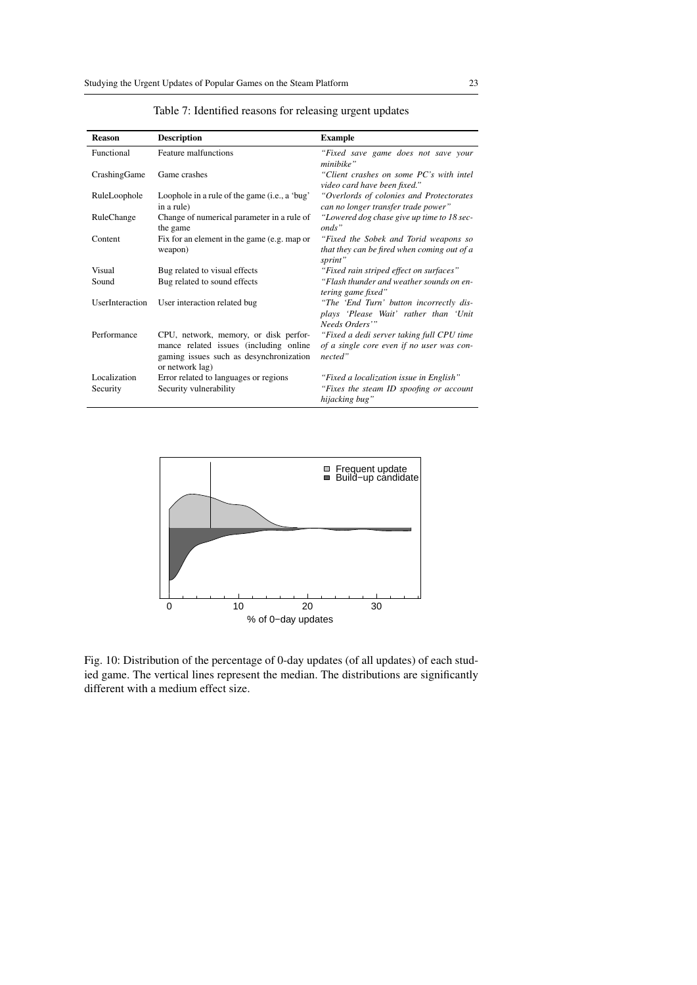<span id="page-22-0"></span>

| <b>Reason</b>   | <b>Description</b>                                                                                                                            | <b>Example</b>                                                                                    |
|-----------------|-----------------------------------------------------------------------------------------------------------------------------------------------|---------------------------------------------------------------------------------------------------|
| Functional      | Feature malfunctions                                                                                                                          | "Fixed save game does not save your<br>minibike"                                                  |
| CrashingGame    | Game crashes                                                                                                                                  | "Client crashes on some PC's with intel<br>video card have been fixed."                           |
| RuleLoophole    | Loophole in a rule of the game (i.e., a 'bug'<br>in a rule)                                                                                   | "Overlords of colonies and Protectorates<br>can no longer transfer trade power"                   |
| RuleChange      | Change of numerical parameter in a rule of<br>the game                                                                                        | "Lowered dog chase give up time to 18 sec-<br>onds"                                               |
| Content         | Fix for an element in the game (e.g. map or                                                                                                   | "Fixed the Sobek and Torid weapons so                                                             |
|                 | weapon)                                                                                                                                       | that they can be fired when coming out of a<br>sprint"                                            |
| Visual          | Bug related to visual effects                                                                                                                 | "Fixed rain striped effect on surfaces"                                                           |
| Sound           | Bug related to sound effects                                                                                                                  | "Flash thunder and weather sounds on en-<br>tering game fixed"                                    |
| UserInteraction | User interaction related bug                                                                                                                  | "The 'End Turn' button incorrectly dis-                                                           |
|                 |                                                                                                                                               | plays 'Please Wait' rather than 'Unit<br>Needs Orders'"                                           |
| Performance     | CPU, network, memory, or disk perfor-<br>mance related issues (including online<br>gaming issues such as desynchronization<br>or network lag) | "Fixed a dedi server taking full CPU time<br>of a single core even if no user was con-<br>nected" |
| Localization    | Error related to languages or regions                                                                                                         | "Fixed a localization issue in English"                                                           |
| Security        | Security vulnerability                                                                                                                        | "Fixes the steam ID spoofing or account<br>hijacking bug"                                         |

Table 7: Identified reasons for releasing urgent updates

<span id="page-22-1"></span>

Fig. 10: Distribution of the percentage of 0-day updates (of all updates) of each studied game. The vertical lines represent the median. The distributions are significantly different with a medium effect size.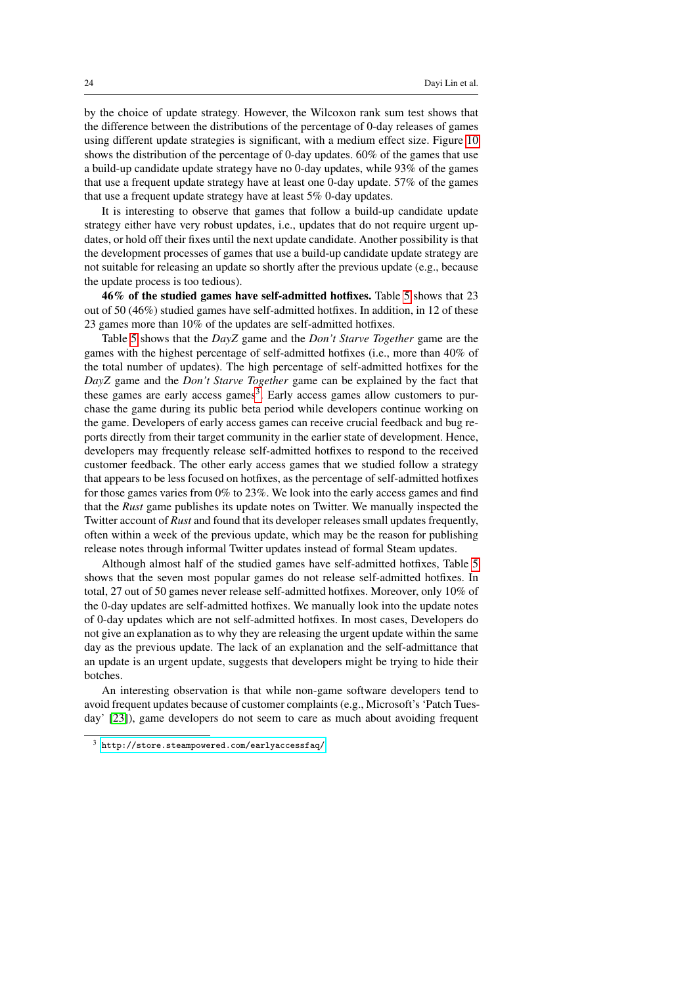by the choice of update strategy. However, the Wilcoxon rank sum test shows that the difference between the distributions of the percentage of 0-day releases of games using different update strategies is significant, with a medium effect size. Figure [10](#page-22-1) shows the distribution of the percentage of 0-day updates. 60% of the games that use a build-up candidate update strategy have no 0-day updates, while 93% of the games that use a frequent update strategy have at least one 0-day update. 57% of the games that use a frequent update strategy have at least 5% 0-day updates.

It is interesting to observe that games that follow a build-up candidate update strategy either have very robust updates, i.e., updates that do not require urgent updates, or hold off their fixes until the next update candidate. Another possibility is that the development processes of games that use a build-up candidate update strategy are not suitable for releasing an update so shortly after the previous update (e.g., because the update process is too tedious).

46% of the studied games have self-admitted hotfixes. Table [5](#page-12-0) shows that 23 out of 50 (46%) studied games have self-admitted hotfixes. In addition, in 12 of these 23 games more than 10% of the updates are self-admitted hotfixes.

Table [5](#page-12-0) shows that the *DayZ* game and the *Don't Starve Together* game are the games with the highest percentage of self-admitted hotfixes (i.e., more than 40% of the total number of updates). The high percentage of self-admitted hotfixes for the *DayZ* game and the *Don't Starve Together* game can be explained by the fact that these games are early access games<sup>[3](#page-23-0)</sup>. Early access games allow customers to purchase the game during its public beta period while developers continue working on the game. Developers of early access games can receive crucial feedback and bug reports directly from their target community in the earlier state of development. Hence, developers may frequently release self-admitted hotfixes to respond to the received customer feedback. The other early access games that we studied follow a strategy that appears to be less focused on hotfixes, as the percentage of self-admitted hotfixes for those games varies from 0% to 23%. We look into the early access games and find that the *Rust* game publishes its update notes on Twitter. We manually inspected the Twitter account of *Rust* and found that its developer releases small updates frequently, often within a week of the previous update, which may be the reason for publishing release notes through informal Twitter updates instead of formal Steam updates.

Although almost half of the studied games have self-admitted hotfixes, Table [5](#page-12-0) shows that the seven most popular games do not release self-admitted hotfixes. In total, 27 out of 50 games never release self-admitted hotfixes. Moreover, only 10% of the 0-day updates are self-admitted hotfixes. We manually look into the update notes of 0-day updates which are not self-admitted hotfixes. In most cases, Developers do not give an explanation as to why they are releasing the urgent update within the same day as the previous update. The lack of an explanation and the self-admittance that an update is an urgent update, suggests that developers might be trying to hide their botches.

An interesting observation is that while non-game software developers tend to avoid frequent updates because of customer complaints (e.g., Microsoft's 'Patch Tuesday' [\[23\]](#page-30-12)), game developers do not seem to care as much about avoiding frequent

<span id="page-23-0"></span><http://store.steampowered.com/earlyaccessfaq/>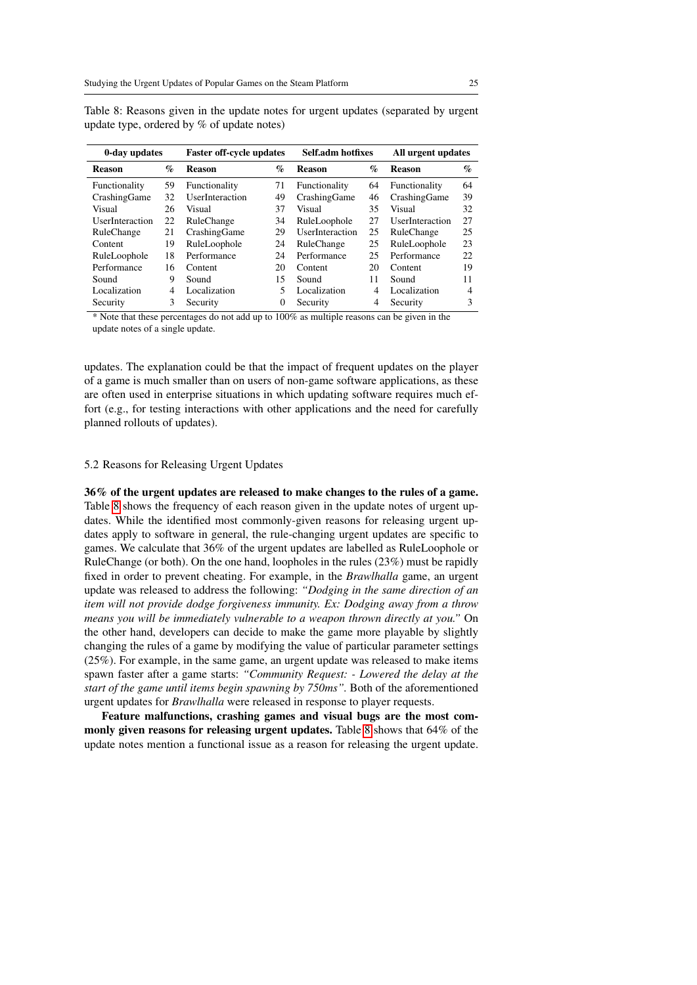| 0-day updates   |      | <b>Faster off-cycle updates</b> |                             | Self.adm hotfixes |      | All urgent updates     |      |  |
|-----------------|------|---------------------------------|-----------------------------|-------------------|------|------------------------|------|--|
| <b>Reason</b>   | $\%$ | <b>Reason</b>                   | $\mathcal{G}_{\mathcal{O}}$ | <b>Reason</b>     | $\%$ | <b>Reason</b>          | $\%$ |  |
| Functionality   | 59   | Functionality                   | 71                          | Functionality     | 64   | Functionality          | 64   |  |
| CrashingGame    | 32   | UserInteraction                 | 49                          | CrashingGame      | 46   | CrashingGame           | 39   |  |
| Visual          | 26   | Visual                          | 37                          | Visual            | 35   | Visual                 | 32   |  |
| UserInteraction | 22   | RuleChange                      | 34                          | RuleLoophole      | 27   | <b>UserInteraction</b> | 27   |  |
| RuleChange      | 21   | CrashingGame                    | 29                          | UserInteraction   | 25   | RuleChange             | 25   |  |
| Content         | 19   | RuleLoophole                    | 24                          | RuleChange        | 25   | RuleLoophole           | 23   |  |
| RuleLoophole    | 18   | Performance                     | 24                          | Performance       | 25   | Performance            | 22   |  |
| Performance     | 16   | Content                         | 20                          | Content           | 20   | Content                | 19   |  |
| Sound           | 9    | Sound                           | 15                          | Sound             | 11   | Sound                  | 11   |  |
| Localization    | 4    | Localization                    | 5                           | Localization      | 4    | Localization           | 4    |  |
| Security        | 3    | Security                        | 0                           | Security          | 4    | Security               | 3    |  |

<span id="page-24-1"></span>Table 8: Reasons given in the update notes for urgent updates (separated by urgent update type, ordered by % of update notes)

\* Note that these percentages do not add up to 100% as multiple reasons can be given in the update notes of a single update.

updates. The explanation could be that the impact of frequent updates on the player of a game is much smaller than on users of non-game software applications, as these are often used in enterprise situations in which updating software requires much effort (e.g., for testing interactions with other applications and the need for carefully planned rollouts of updates).

#### <span id="page-24-0"></span>5.2 Reasons for Releasing Urgent Updates

36% of the urgent updates are released to make changes to the rules of a game. Table [8](#page-24-1) shows the frequency of each reason given in the update notes of urgent updates. While the identified most commonly-given reasons for releasing urgent updates apply to software in general, the rule-changing urgent updates are specific to games. We calculate that 36% of the urgent updates are labelled as RuleLoophole or RuleChange (or both). On the one hand, loopholes in the rules (23%) must be rapidly fixed in order to prevent cheating. For example, in the *Brawlhalla* game, an urgent update was released to address the following: *"Dodging in the same direction of an item will not provide dodge forgiveness immunity. Ex: Dodging away from a throw means you will be immediately vulnerable to a weapon thrown directly at you."* On the other hand, developers can decide to make the game more playable by slightly changing the rules of a game by modifying the value of particular parameter settings (25%). For example, in the same game, an urgent update was released to make items spawn faster after a game starts: *"Community Request: - Lowered the delay at the start of the game until items begin spawning by 750ms".* Both of the aforementioned urgent updates for *Brawlhalla* were released in response to player requests.

Feature malfunctions, crashing games and visual bugs are the most commonly given reasons for releasing urgent updates. Table [8](#page-24-1) shows that 64% of the update notes mention a functional issue as a reason for releasing the urgent update.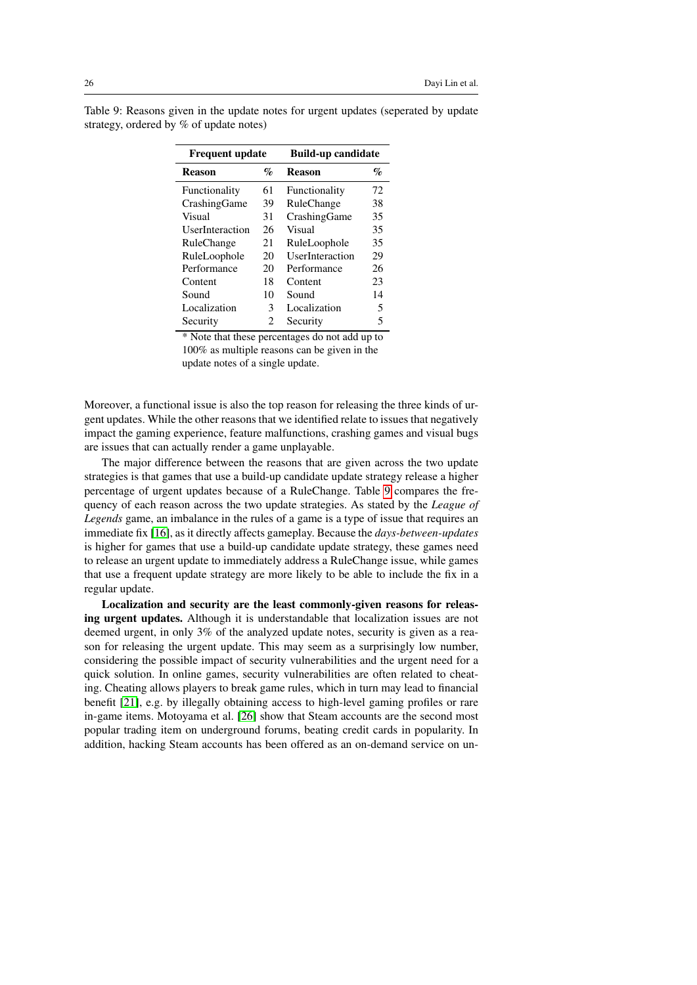| <b>Frequent update</b> |                | <b>Build-up candidate</b> |                 |  |  |  |
|------------------------|----------------|---------------------------|-----------------|--|--|--|
| <b>Reason</b>          | $\mathbf{q}_o$ | <b>Reason</b>             | $\mathcal{G}_0$ |  |  |  |
| Functionality          | 61             | Functionality             | 72              |  |  |  |
| CrashingGame           | 39             | RuleChange                | 38              |  |  |  |
| Visual                 | 31             | CrashingGame              | 35              |  |  |  |
| UserInteraction        | 26             | Visual                    | 35              |  |  |  |
| RuleChange             | 21             | RuleLoophole              | 35              |  |  |  |
| RuleLoophole           | 20             | UserInteraction           | 29              |  |  |  |
| Performance            | 20             | Performance               | 26              |  |  |  |
| Content                | 18             | Content                   | 23              |  |  |  |
| Sound                  | 10             | Sound                     | 14              |  |  |  |
| Localization           | 3              | Localization              | 5               |  |  |  |
| Security               | $\mathfrak{D}$ | Security                  | 5               |  |  |  |

<span id="page-25-0"></span>Table 9: Reasons given in the update notes for urgent updates (seperated by update strategy, ordered by % of update notes)

> \* Note that these percentages do not add up to 100% as multiple reasons can be given in the update notes of a single update.

Moreover, a functional issue is also the top reason for releasing the three kinds of urgent updates. While the other reasons that we identified relate to issues that negatively impact the gaming experience, feature malfunctions, crashing games and visual bugs are issues that can actually render a game unplayable.

The major difference between the reasons that are given across the two update strategies is that games that use a build-up candidate update strategy release a higher percentage of urgent updates because of a RuleChange. Table [9](#page-25-0) compares the frequency of each reason across the two update strategies. As stated by the *League of Legends* game, an imbalance in the rules of a game is a type of issue that requires an immediate fix [\[16\]](#page-30-13), as it directly affects gameplay. Because the *days-between-updates* is higher for games that use a build-up candidate update strategy, these games need to release an urgent update to immediately address a RuleChange issue, while games that use a frequent update strategy are more likely to be able to include the fix in a regular update.

Localization and security are the least commonly-given reasons for releasing urgent updates. Although it is understandable that localization issues are not deemed urgent, in only 3% of the analyzed update notes, security is given as a reason for releasing the urgent update. This may seem as a surprisingly low number, considering the possible impact of security vulnerabilities and the urgent need for a quick solution. In online games, security vulnerabilities are often related to cheating. Cheating allows players to break game rules, which in turn may lead to financial benefit [\[21\]](#page-30-14), e.g. by illegally obtaining access to high-level gaming profiles or rare in-game items. Motoyama et al. [\[26\]](#page-30-15) show that Steam accounts are the second most popular trading item on underground forums, beating credit cards in popularity. In addition, hacking Steam accounts has been offered as an on-demand service on un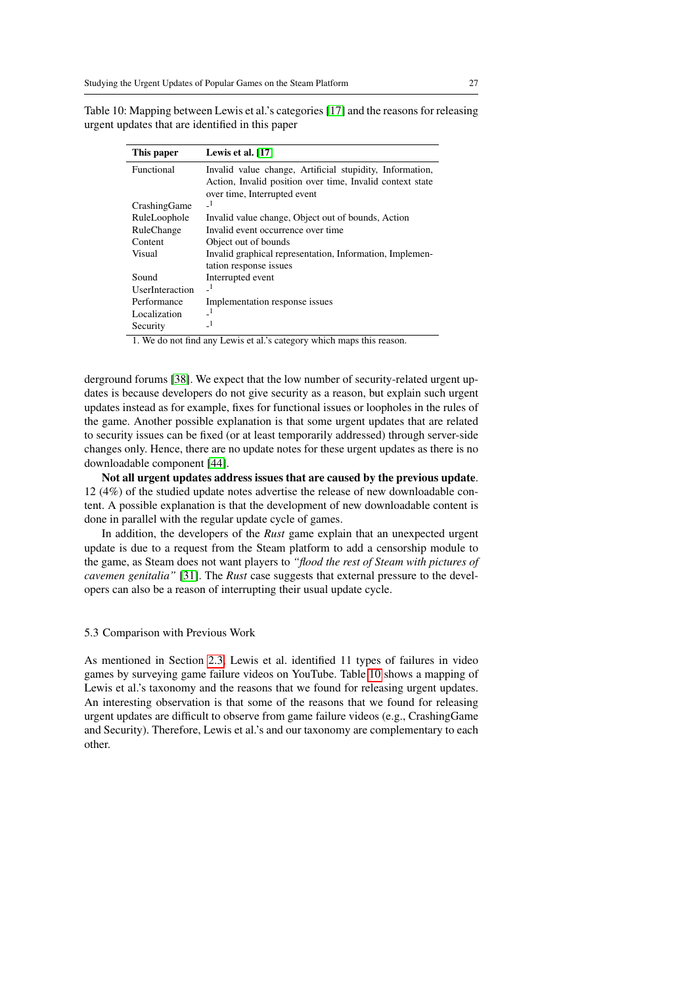This paper Lewis et al. [\[17\]](#page-30-3) Functional Invalid value change, Artificial stupidity, Information, Action, Invalid position over time, Invalid context state over time, Interrupted event CrashingGame RuleLoophole Invalid value change, Object out of bounds, Action RuleChange Invalid event occurrence over time Content Object out of bounds<br>Visual Invalid graphical repr Invalid graphical representation, Information, Implementation response issues Sound Interrupted event<br>IIserInteraction  $I<sup>1</sup>$ UserInteraction Performance Implementation response issues<br> $I_{\text{localization}}$ <sup>1</sup> Localization  $\frac{1}{2}$ <br>Security  $\frac{1}{2}$ **Security** 

<span id="page-26-0"></span>Table 10: Mapping between Lewis et al.'s categories [\[17\]](#page-30-3) and the reasons for releasing urgent updates that are identified in this paper

1. We do not find any Lewis et al.'s category which maps this reason.

derground forums [\[38\]](#page-31-13). We expect that the low number of security-related urgent updates is because developers do not give security as a reason, but explain such urgent updates instead as for example, fixes for functional issues or loopholes in the rules of the game. Another possible explanation is that some urgent updates that are related to security issues can be fixed (or at least temporarily addressed) through server-side changes only. Hence, there are no update notes for these urgent updates as there is no downloadable component [\[44\]](#page-32-1).

Not all urgent updates address issues that are caused by the previous update. 12 (4%) of the studied update notes advertise the release of new downloadable content. A possible explanation is that the development of new downloadable content is done in parallel with the regular update cycle of games.

In addition, the developers of the *Rust* game explain that an unexpected urgent update is due to a request from the Steam platform to add a censorship module to the game, as Steam does not want players to *"flood the rest of Steam with pictures of cavemen genitalia"* [\[31\]](#page-31-14). The *Rust* case suggests that external pressure to the developers can also be a reason of interrupting their usual update cycle.

# 5.3 Comparison with Previous Work

As mentioned in Section [2.3,](#page-4-0) Lewis et al. identified 11 types of failures in video games by surveying game failure videos on YouTube. Table [10](#page-26-0) shows a mapping of Lewis et al.'s taxonomy and the reasons that we found for releasing urgent updates. An interesting observation is that some of the reasons that we found for releasing urgent updates are difficult to observe from game failure videos (e.g., CrashingGame and Security). Therefore, Lewis et al.'s and our taxonomy are complementary to each other.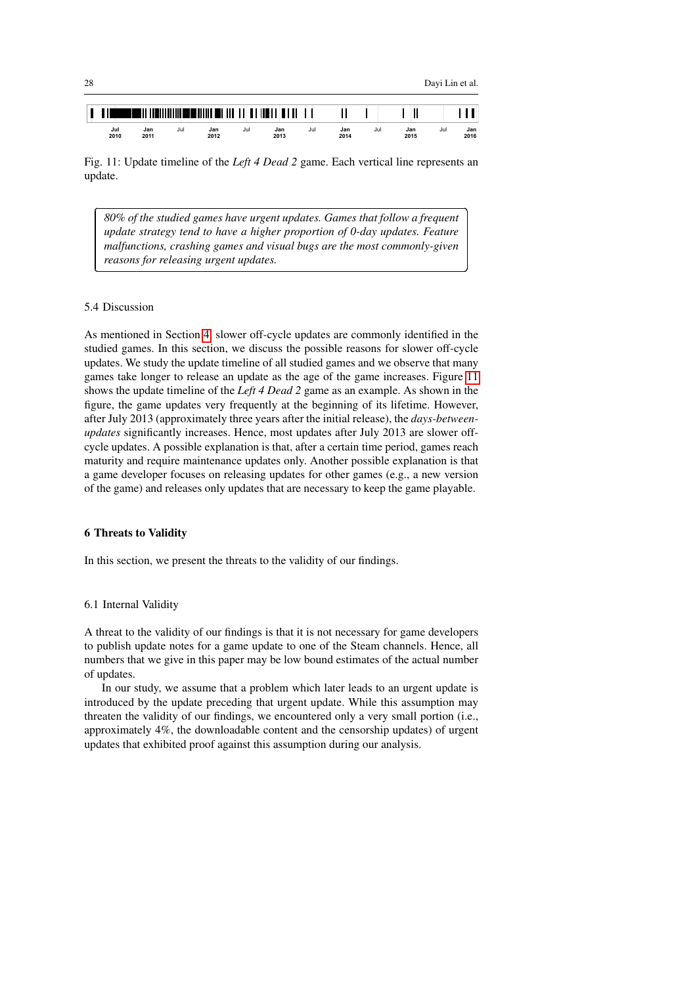

<sup>1</sup>

✁

<span id="page-27-2"></span>

Fig. 11: Update timeline of the *Left 4 Dead 2* game. Each vertical line represents an update.

*80% of the studied games have urgent updates. Games that follow a frequent update strategy tend to have a higher proportion of 0-day updates. Feature malfunctions, crashing games and visual bugs are the most commonly-given reasons for releasing urgent updates.*

# <span id="page-27-1"></span>5.4 Discussion

As mentioned in Section [4,](#page-11-0) slower off-cycle updates are commonly identified in the studied games. In this section, we discuss the possible reasons for slower off-cycle updates. We study the update timeline of all studied games and we observe that many games take longer to release an update as the age of the game increases. Figure [11](#page-27-2) shows the update timeline of the *Left 4 Dead 2* game as an example. As shown in the figure, the game updates very frequently at the beginning of its lifetime. However, after July 2013 (approximately three years after the initial release), the *days-betweenupdates* significantly increases. Hence, most updates after July 2013 are slower offcycle updates. A possible explanation is that, after a certain time period, games reach maturity and require maintenance updates only. Another possible explanation is that a game developer focuses on releasing updates for other games (e.g., a new version of the game) and releases only updates that are necessary to keep the game playable.

# <span id="page-27-0"></span>6 Threats to Validity

In this section, we present the threats to the validity of our findings.

# 6.1 Internal Validity

A threat to the validity of our findings is that it is not necessary for game developers to publish update notes for a game update to one of the Steam channels. Hence, all numbers that we give in this paper may be low bound estimates of the actual number of updates.

In our study, we assume that a problem which later leads to an urgent update is introduced by the update preceding that urgent update. While this assumption may threaten the validity of our findings, we encountered only a very small portion (i.e., approximately 4%, the downloadable content and the censorship updates) of urgent updates that exhibited proof against this assumption during our analysis.

✄

 $\overline{a}$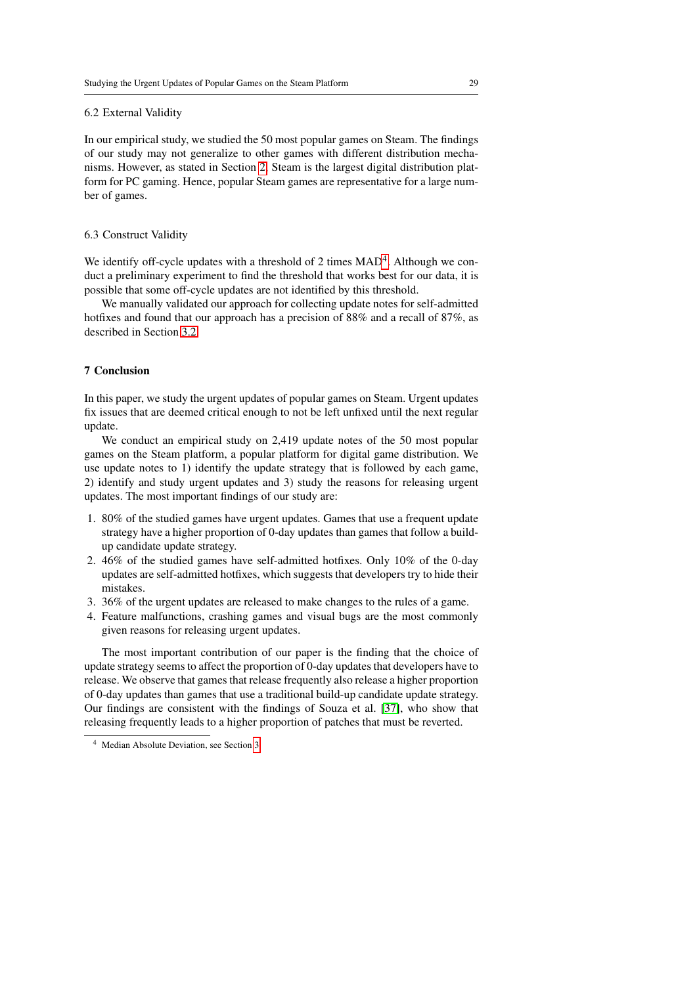# 6.2 External Validity

In our empirical study, we studied the 50 most popular games on Steam. The findings of our study may not generalize to other games with different distribution mechanisms. However, as stated in Section [2,](#page-2-0) Steam is the largest digital distribution platform for PC gaming. Hence, popular Steam games are representative for a large number of games.

## 6.3 Construct Validity

We identify off-cycle updates with a threshold of 2 times  $MAD<sup>4</sup>$  $MAD<sup>4</sup>$  $MAD<sup>4</sup>$ . Although we conduct a preliminary experiment to find the threshold that works best for our data, it is possible that some off-cycle updates are not identified by this threshold.

We manually validated our approach for collecting update notes for self-admitted hotfixes and found that our approach has a precision of 88% and a recall of 87%, as described in Section [3.2.](#page-7-1)

# <span id="page-28-0"></span>7 Conclusion

In this paper, we study the urgent updates of popular games on Steam. Urgent updates fix issues that are deemed critical enough to not be left unfixed until the next regular update.

We conduct an empirical study on 2,419 update notes of the 50 most popular games on the Steam platform, a popular platform for digital game distribution. We use update notes to 1) identify the update strategy that is followed by each game, 2) identify and study urgent updates and 3) study the reasons for releasing urgent updates. The most important findings of our study are:

- 1. 80% of the studied games have urgent updates. Games that use a frequent update strategy have a higher proportion of 0-day updates than games that follow a buildup candidate update strategy.
- 2. 46% of the studied games have self-admitted hotfixes. Only 10% of the 0-day updates are self-admitted hotfixes, which suggests that developers try to hide their mistakes.
- 3. 36% of the urgent updates are released to make changes to the rules of a game.
- 4. Feature malfunctions, crashing games and visual bugs are the most commonly given reasons for releasing urgent updates.

The most important contribution of our paper is the finding that the choice of update strategy seems to affect the proportion of 0-day updates that developers have to release. We observe that games that release frequently also release a higher proportion of 0-day updates than games that use a traditional build-up candidate update strategy. Our findings are consistent with the findings of Souza et al. [\[37\]](#page-31-7), who show that releasing frequently leads to a higher proportion of patches that must be reverted.

<span id="page-28-1"></span><sup>4</sup> Median Absolute Deviation, see Section [3.](#page-6-0)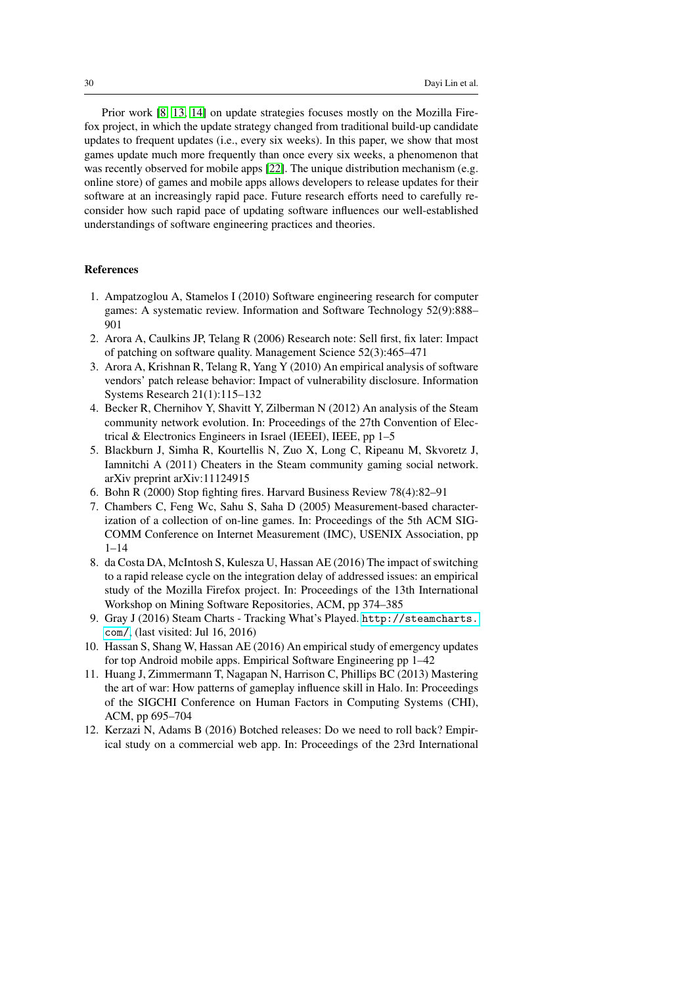Prior work [\[8,](#page-29-11) [13,](#page-30-7) [14\]](#page-30-8) on update strategies focuses mostly on the Mozilla Firefox project, in which the update strategy changed from traditional build-up candidate updates to frequent updates (i.e., every six weeks). In this paper, we show that most games update much more frequently than once every six weeks, a phenomenon that was recently observed for mobile apps [\[22\]](#page-30-4). The unique distribution mechanism (e.g. online store) of games and mobile apps allows developers to release updates for their software at an increasingly rapid pace. Future research efforts need to carefully reconsider how such rapid pace of updating software influences our well-established understandings of software engineering practices and theories.

# References

- <span id="page-29-8"></span>1. Ampatzoglou A, Stamelos I (2010) Software engineering research for computer games: A systematic review. Information and Software Technology 52(9):888– 901
- <span id="page-29-9"></span>2. Arora A, Caulkins JP, Telang R (2006) Research note: Sell first, fix later: Impact of patching on software quality. Management Science 52(3):465–471
- <span id="page-29-2"></span>3. Arora A, Krishnan R, Telang R, Yang Y (2010) An empirical analysis of software vendors' patch release behavior: Impact of vulnerability disclosure. Information Systems Research 21(1):115–132
- <span id="page-29-6"></span>4. Becker R, Chernihov Y, Shavitt Y, Zilberman N (2012) An analysis of the Steam community network evolution. In: Proceedings of the 27th Convention of Electrical & Electronics Engineers in Israel (IEEEI), IEEE, pp 1–5
- <span id="page-29-5"></span>5. Blackburn J, Simha R, Kourtellis N, Zuo X, Long C, Ripeanu M, Skvoretz J, Iamnitchi A (2011) Cheaters in the Steam community gaming social network. arXiv preprint arXiv:11124915
- <span id="page-29-1"></span>6. Bohn R (2000) Stop fighting fires. Harvard Business Review 78(4):82–91
- <span id="page-29-4"></span>7. Chambers C, Feng Wc, Sahu S, Saha D (2005) Measurement-based characterization of a collection of on-line games. In: Proceedings of the 5th ACM SIG-COMM Conference on Internet Measurement (IMC), USENIX Association, pp 1–14
- <span id="page-29-11"></span>8. da Costa DA, McIntosh S, Kulesza U, Hassan AE (2016) The impact of switching to a rapid release cycle on the integration delay of addressed issues: an empirical study of the Mozilla Firefox project. In: Proceedings of the 13th International Workshop on Mining Software Repositories, ACM, pp 374–385
- <span id="page-29-0"></span>9. Gray J (2016) Steam Charts - Tracking What's Played. [http://steamcharts.](http://steamcharts.com/) [com/](http://steamcharts.com/), (last visited: Jul 16, 2016)
- <span id="page-29-3"></span>10. Hassan S, Shang W, Hassan AE (2016) An empirical study of emergency updates for top Android mobile apps. Empirical Software Engineering pp 1–42
- <span id="page-29-7"></span>11. Huang J, Zimmermann T, Nagapan N, Harrison C, Phillips BC (2013) Mastering the art of war: How patterns of gameplay influence skill in Halo. In: Proceedings of the SIGCHI Conference on Human Factors in Computing Systems (CHI), ACM, pp 695–704
- <span id="page-29-10"></span>12. Kerzazi N, Adams B (2016) Botched releases: Do we need to roll back? Empirical study on a commercial web app. In: Proceedings of the 23rd International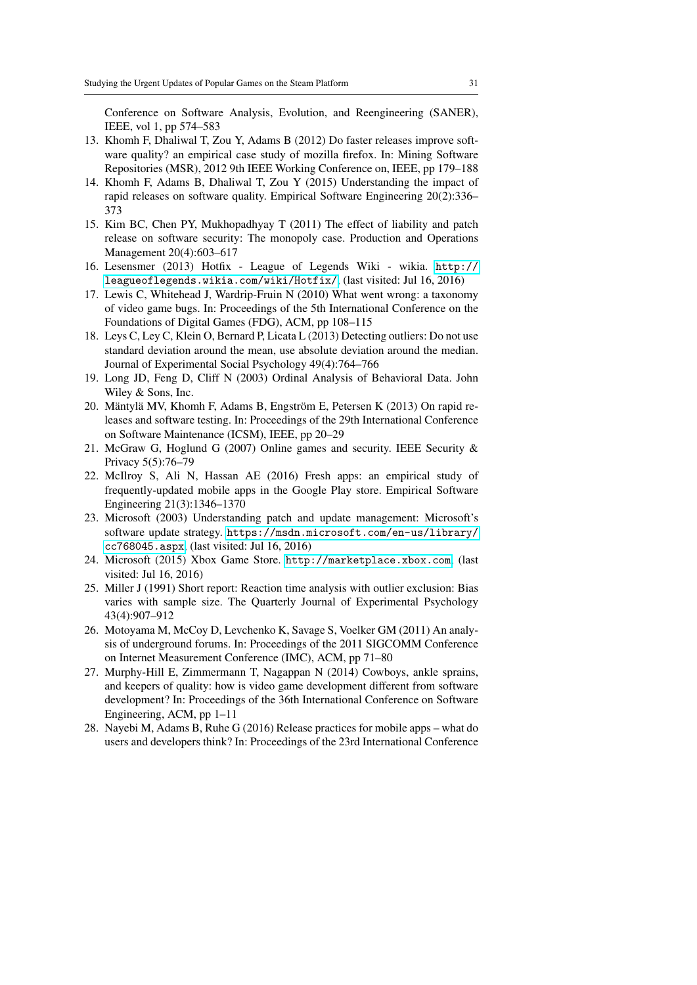Conference on Software Analysis, Evolution, and Reengineering (SANER), IEEE, vol 1, pp 574–583

- <span id="page-30-7"></span>13. Khomh F, Dhaliwal T, Zou Y, Adams B (2012) Do faster releases improve software quality? an empirical case study of mozilla firefox. In: Mining Software Repositories (MSR), 2012 9th IEEE Working Conference on, IEEE, pp 179–188
- <span id="page-30-8"></span>14. Khomh F, Adams B, Dhaliwal T, Zou Y (2015) Understanding the impact of rapid releases on software quality. Empirical Software Engineering 20(2):336– 373
- <span id="page-30-1"></span>15. Kim BC, Chen PY, Mukhopadhyay T (2011) The effect of liability and patch release on software security: The monopoly case. Production and Operations Management 20(4):603–617
- <span id="page-30-13"></span>16. Lesensmer (2013) Hotfix - League of Legends Wiki - wikia. [http://](http://leagueoflegends.wikia.com/wiki/Hotfix/) [leagueoflegends.wikia.com/wiki/Hotfix/](http://leagueoflegends.wikia.com/wiki/Hotfix/), (last visited: Jul 16, 2016)
- <span id="page-30-3"></span>17. Lewis C, Whitehead J, Wardrip-Fruin N (2010) What went wrong: a taxonomy of video game bugs. In: Proceedings of the 5th International Conference on the Foundations of Digital Games (FDG), ACM, pp 108–115
- <span id="page-30-9"></span>18. Leys C, Ley C, Klein O, Bernard P, Licata L (2013) Detecting outliers: Do not use standard deviation around the mean, use absolute deviation around the median. Journal of Experimental Social Psychology 49(4):764–766
- <span id="page-30-11"></span>19. Long JD, Feng D, Cliff N (2003) Ordinal Analysis of Behavioral Data. John Wiley & Sons, Inc.
- <span id="page-30-6"></span>20. Mäntylä MV, Khomh F, Adams B, Engström E, Petersen K (2013) On rapid releases and software testing. In: Proceedings of the 29th International Conference on Software Maintenance (ICSM), IEEE, pp 20–29
- <span id="page-30-14"></span>21. McGraw G, Hoglund G (2007) Online games and security. IEEE Security & Privacy 5(5):76–79
- <span id="page-30-4"></span>22. McIlroy S, Ali N, Hassan AE (2016) Fresh apps: an empirical study of frequently-updated mobile apps in the Google Play store. Empirical Software Engineering 21(3):1346–1370
- <span id="page-30-12"></span>23. Microsoft (2003) Understanding patch and update management: Microsoft's software update strategy. [https://msdn.microsoft.com/en-us/library/](https://msdn.microsoft.com/en-us/library/cc768045.aspx) [cc768045.aspx](https://msdn.microsoft.com/en-us/library/cc768045.aspx), (last visited: Jul 16, 2016)
- <span id="page-30-0"></span>24. Microsoft (2015) Xbox Game Store. <http://marketplace.xbox.com>, (last visited: Jul 16, 2016)
- <span id="page-30-10"></span>25. Miller J (1991) Short report: Reaction time analysis with outlier exclusion: Bias varies with sample size. The Quarterly Journal of Experimental Psychology 43(4):907–912
- <span id="page-30-15"></span>26. Motoyama M, McCoy D, Levchenko K, Savage S, Voelker GM (2011) An analysis of underground forums. In: Proceedings of the 2011 SIGCOMM Conference on Internet Measurement Conference (IMC), ACM, pp 71–80
- <span id="page-30-2"></span>27. Murphy-Hill E, Zimmermann T, Nagappan N (2014) Cowboys, ankle sprains, and keepers of quality: how is video game development different from software development? In: Proceedings of the 36th International Conference on Software Engineering, ACM, pp 1–11
- <span id="page-30-5"></span>28. Nayebi M, Adams B, Ruhe G (2016) Release practices for mobile apps – what do users and developers think? In: Proceedings of the 23rd International Conference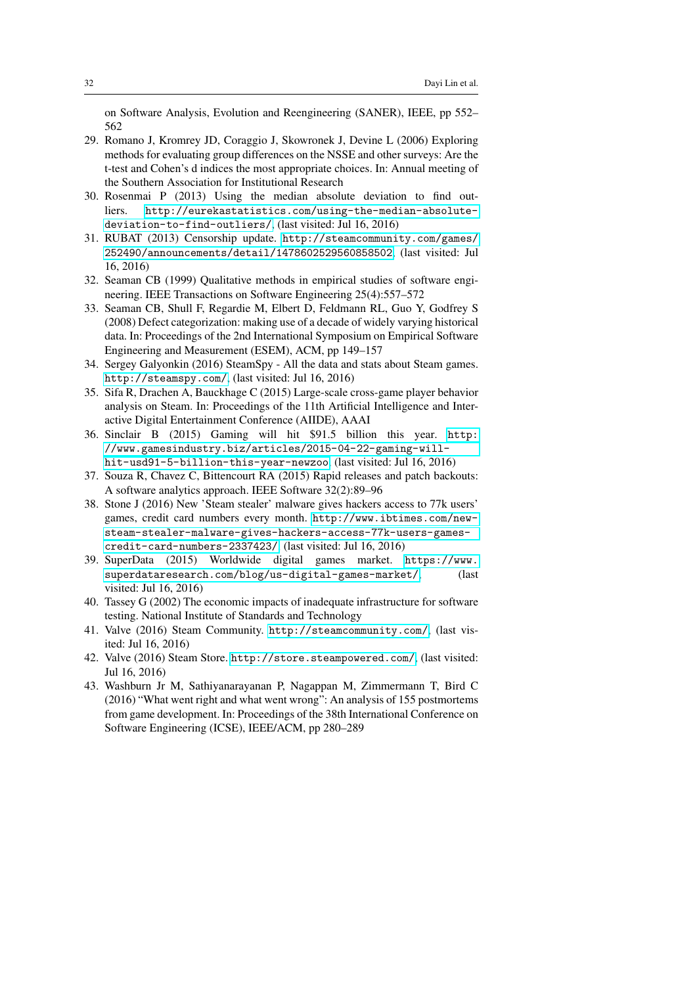on Software Analysis, Evolution and Reengineering (SANER), IEEE, pp 552– 562

- <span id="page-31-9"></span>29. Romano J, Kromrey JD, Coraggio J, Skowronek J, Devine L (2006) Exploring methods for evaluating group differences on the NSSE and other surveys: Are the t-test and Cohen's d indices the most appropriate choices. In: Annual meeting of the Southern Association for Institutional Research
- <span id="page-31-8"></span>30. Rosenmai P (2013) Using the median absolute deviation to find outliers. [http://eurekastatistics.com/using-the-median-absolute](http://eurekastatistics.com/using-the-median-absolute-deviation-to-find-outliers/)[deviation-to-find-outliers/](http://eurekastatistics.com/using-the-median-absolute-deviation-to-find-outliers/), (last visited: Jul 16, 2016)
- <span id="page-31-14"></span>31. RUBAT (2013) Censorship update. [http://steamcommunity.com/games/](http://steamcommunity.com/games/252490/announcements/detail/1478602529560858502) [252490/announcements/detail/1478602529560858502](http://steamcommunity.com/games/252490/announcements/detail/1478602529560858502), (last visited: Jul 16, 2016)
- <span id="page-31-11"></span>32. Seaman CB (1999) Qualitative methods in empirical studies of software engineering. IEEE Transactions on Software Engineering 25(4):557–572
- <span id="page-31-12"></span>33. Seaman CB, Shull F, Regardie M, Elbert D, Feldmann RL, Guo Y, Godfrey S (2008) Defect categorization: making use of a decade of widely varying historical data. In: Proceedings of the 2nd International Symposium on Empirical Software Engineering and Measurement (ESEM), ACM, pp 149–157
- <span id="page-31-4"></span>34. Sergey Galyonkin (2016) SteamSpy - All the data and stats about Steam games. <http://steamspy.com/>, (last visited: Jul 16, 2016)
- <span id="page-31-5"></span>35. Sifa R, Drachen A, Bauckhage C (2015) Large-scale cross-game player behavior analysis on Steam. In: Proceedings of the 11th Artificial Intelligence and Interactive Digital Entertainment Conference (AIIDE), AAAI
- <span id="page-31-0"></span>36. Sinclair B (2015) Gaming will hit \$91.5 billion this year. [http:](http://www.gamesindustry.biz/articles/2015-04-22-gaming-will-hit-usd91-5-billion-this-year-newzoo) [//www.gamesindustry.biz/articles/2015-04-22-gaming-will](http://www.gamesindustry.biz/articles/2015-04-22-gaming-will-hit-usd91-5-billion-this-year-newzoo)[hit-usd91-5-billion-this-year-newzoo](http://www.gamesindustry.biz/articles/2015-04-22-gaming-will-hit-usd91-5-billion-this-year-newzoo), (last visited: Jul 16, 2016)
- <span id="page-31-7"></span>37. Souza R, Chavez C, Bittencourt RA (2015) Rapid releases and patch backouts: A software analytics approach. IEEE Software 32(2):89–96
- <span id="page-31-13"></span>38. Stone J (2016) New 'Steam stealer' malware gives hackers access to 77k users' games, credit card numbers every month. [http://www.ibtimes.com/new](http://www.ibtimes.com/new-steam-stealer-malware-gives-hackers-access-77k-users-games-credit-card-numbers-2337423/)[steam-stealer-malware-gives-hackers-access-77k-users-games](http://www.ibtimes.com/new-steam-stealer-malware-gives-hackers-access-77k-users-games-credit-card-numbers-2337423/)[credit-card-numbers-2337423/](http://www.ibtimes.com/new-steam-stealer-malware-gives-hackers-access-77k-users-games-credit-card-numbers-2337423/), (last visited: Jul 16, 2016)
- <span id="page-31-3"></span>39. SuperData (2015) Worldwide digital games market. [https://www.](https://www.superdataresearch.com/blog/us-digital-games-market/) [superdataresearch.com/blog/us-digital-games-market/](https://www.superdataresearch.com/blog/us-digital-games-market/), (last visited: Jul 16, 2016)
- <span id="page-31-10"></span>40. Tassey G (2002) The economic impacts of inadequate infrastructure for software testing. National Institute of Standards and Technology
- <span id="page-31-2"></span>41. Valve (2016) Steam Community. <http://steamcommunity.com/>, (last visited: Jul 16, 2016)
- <span id="page-31-1"></span>42. Valve (2016) Steam Store. <http://store.steampowered.com/>, (last visited: Jul 16, 2016)
- <span id="page-31-6"></span>43. Washburn Jr M, Sathiyanarayanan P, Nagappan M, Zimmermann T, Bird C (2016) "What went right and what went wrong": An analysis of 155 postmortems from game development. In: Proceedings of the 38th International Conference on Software Engineering (ICSE), IEEE/ACM, pp 280–289